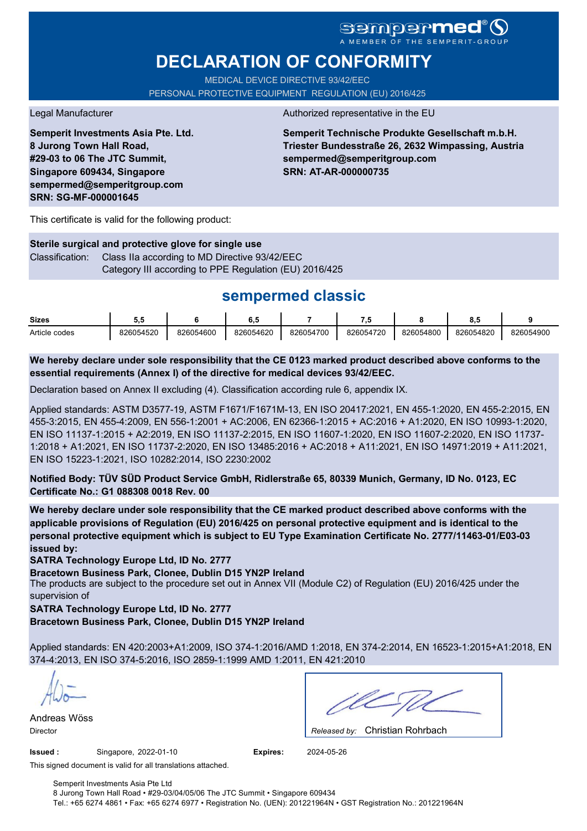# **sempermed**

# **DECLARATION OF CONFORMITY**

MEDICAL DEVICE DIRECTIVE 93/42/EEC PERSONAL PROTECTIVE EQUIPMENT REGULATION (EU) 2016/425

**Semperit Investments Asia Pte. Ltd. 8 Jurong Town Hall Road, #29-03 to 06 The JTC Summit, Singapore 609434, Singapore sempermed@semperitgroup.com SRN: SG-MF-000001645**

#### Legal Manufacturer **Authorized representative in the EU**

**Semperit Technische Produkte Gesellschaft m.b.H. Triester Bundesstraße 26, 2632 Wimpassing, Austria sempermed@semperitgroup.com SRN: AT-AR-000000735**

This certificate is valid for the following product:

**Sterile surgical and protective glove for single use** Classification: Class IIa according to MD Directive 93/42/EEC Category III according to PPE Regulation (EU) 2016/425

## **sempermed classic**

| <b>Sizes</b>  | v.v       |           | v.v       |           | - -       |           | u.u       |           |
|---------------|-----------|-----------|-----------|-----------|-----------|-----------|-----------|-----------|
| Article codes | 826054520 | 826054600 | 826054620 | 826054700 | 826054720 | 826054800 | 826054820 | 826054900 |

**We hereby declare under sole responsibility that the CE 0123 marked product described above conforms to the essential requirements (Annex I) of the directive for medical devices 93/42/EEC.**

Declaration based on Annex II excluding (4). Classification according rule 6, appendix IX.

Applied standards: ASTM D3577-19, ASTM F1671/F1671M-13, EN ISO 20417:2021, EN 455-1:2020, EN 455-2:2015, EN 455-3:2015, EN 455-4:2009, EN 556-1:2001 + AC:2006, EN 62366-1:2015 + AC:2016 + A1:2020, EN ISO 10993-1:2020, EN ISO 11137-1:2015 + A2:2019, EN ISO 11137-2:2015, EN ISO 11607-1:2020, EN ISO 11607-2:2020, EN ISO 11737- 1:2018 + A1:2021, EN ISO 11737-2:2020, EN ISO 13485:2016 + AC:2018 + A11:2021, EN ISO 14971:2019 + A11:2021, EN ISO 15223-1:2021, ISO 10282:2014, ISO 2230:2002

**Notified Body: TÜV SÜD Product Service GmbH, Ridlerstraße 65, 80339 Munich, Germany, ID No. 0123, EC Certificate No.: G1 088308 0018 Rev. 00** 

**We hereby declare under sole responsibility that the CE marked product described above conforms with the applicable provisions of Regulation (EU) 2016/425 on personal protective equipment and is identical to the personal protective equipment which is subject to EU Type Examination Certificate No. 2777/11463-01/E03-03 issued by:**

**SATRA Technology Europe Ltd, ID No. 2777**

**Bracetown Business Park, Clonee, Dublin D15 YN2P Ireland**

The products are subject to the procedure set out in Annex VII (Module C2) of Regulation (EU) 2016/425 under the supervision of

**SATRA Technology Europe Ltd, ID No. 2777**

**Bracetown Business Park, Clonee, Dublin D15 YN2P Ireland**

Applied standards: EN 420:2003+A1:2009, ISO 374-1:2016/AMD 1:2018, EN 374-2:2014, EN 16523-1:2015+A1:2018, EN 374-4:2013, EN ISO 374-5:2016, ISO 2859-1:1999 AMD 1:2011, EN 421:2010

Andreas Wöss

Christian Rohrbach Director *Released by:* 

**Issued :** Singapore, 2022-01-10 **Expires:** 2024-05-26

This signed document is valid for all translations attached.

Semperit Investments Asia Pte Ltd 8 Jurong Town Hall Road • #29-03/04/05/06 The JTC Summit • Singapore 609434 Tel.: +65 6274 4861 • Fax: +65 6274 6977 • Registration No. (UEN): 201221964N • GST Registration No.: 201221964N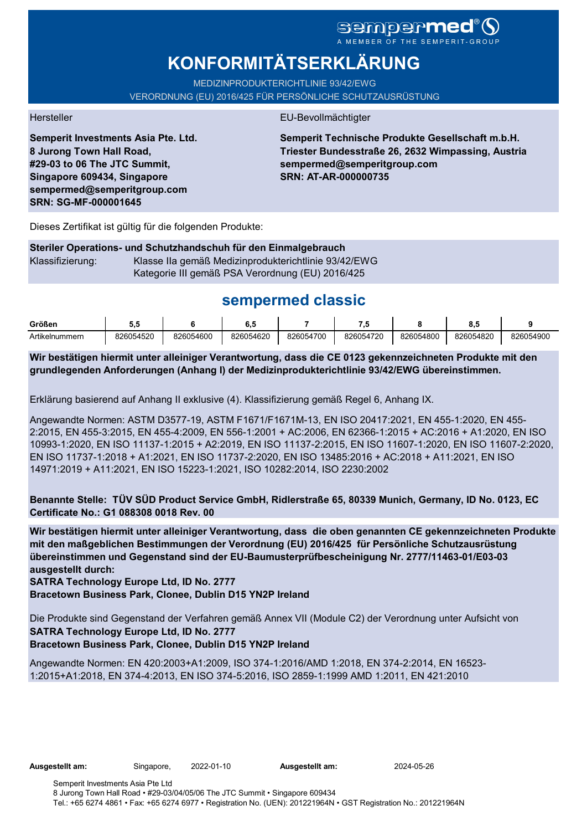# sempermed

# **KONFORMITÄTSERKLÄRUNG**

MEDIZINPRODUKTERICHTLINIE 93/42/EWG VERORDNUNG (EU) 2016/425 FÜR PERSÖNLICHE SCHUTZAUSRÜSTUNG

**Semperit Investments Asia Pte. Ltd. 8 Jurong Town Hall Road, #29-03 to 06 The JTC Summit, Singapore 609434, Singapore sempermed@semperitgroup.com SRN: SG-MF-000001645**

#### Hersteller EU-Bevollmächtigter

**Semperit Technische Produkte Gesellschaft m.b.H. Triester Bundesstraße 26, 2632 Wimpassing, Austria sempermed@semperitgroup.com SRN: AT-AR-000000735**

Dieses Zertifikat ist gültig für die folgenden Produkte:

**Steriler Operations- und Schutzhandschuh für den Einmalgebrauch** Klassifizierung: Klasse IIa gemäß Medizinprodukterichtlinie 93/42/EWG Kategorie III gemäß PSA Verordnung (EU) 2016/425

## **sempermed classic**

| Größen         | J.v       |           | u.u       |           | $\cdot$ . |           | υ.,       |           |
|----------------|-----------|-----------|-----------|-----------|-----------|-----------|-----------|-----------|
| Artikelnummern | 826054520 | 826054600 | 826054620 | 826054700 | 826054720 | 826054800 | 826054820 | 826054900 |

**Wir bestätigen hiermit unter alleiniger Verantwortung, dass die CE 0123 gekennzeichneten Produkte mit den grundlegenden Anforderungen (Anhang I) der Medizinprodukterichtlinie 93/42/EWG übereinstimmen.**

Erklärung basierend auf Anhang II exklusive (4). Klassifizierung gemäß Regel 6, Anhang IX.

Angewandte Normen: ASTM D3577-19, ASTM F1671/F1671M-13, EN ISO 20417:2021, EN 455-1:2020, EN 455- 2:2015, EN 455-3:2015, EN 455-4:2009, EN 556-1:2001 + AC:2006, EN 62366-1:2015 + AC:2016 + A1:2020, EN ISO 10993-1:2020, EN ISO 11137-1:2015 + A2:2019, EN ISO 11137-2:2015, EN ISO 11607-1:2020, EN ISO 11607-2:2020, EN ISO 11737-1:2018 + A1:2021, EN ISO 11737-2:2020, EN ISO 13485:2016 + AC:2018 + A11:2021, EN ISO 14971:2019 + A11:2021, EN ISO 15223-1:2021, ISO 10282:2014, ISO 2230:2002

**Benannte Stelle: TÜV SÜD Product Service GmbH, Ridlerstraße 65, 80339 Munich, Germany, ID No. 0123, EC Certificate No.: G1 088308 0018 Rev. 00** 

**Wir bestätigen hiermit unter alleiniger Verantwortung, dass die oben genannten CE gekennzeichneten Produkte mit den maßgeblichen Bestimmungen der Verordnung (EU) 2016/425 für Persönliche Schutzausrüstung übereinstimmen und Gegenstand sind der EU-Baumusterprüfbescheinigung Nr. 2777/11463-01/E03-03 ausgestellt durch:**

#### **SATRA Technology Europe Ltd, ID No. 2777**

**Bracetown Business Park, Clonee, Dublin D15 YN2P Ireland**

Die Produkte sind Gegenstand der Verfahren gemäß Annex VII (Module C2) der Verordnung unter Aufsicht von **SATRA Technology Europe Ltd, ID No. 2777**

### **Bracetown Business Park, Clonee, Dublin D15 YN2P Ireland**

Angewandte Normen: EN 420:2003+A1:2009, ISO 374-1:2016/AMD 1:2018, EN 374-2:2014, EN 16523- 1:2015+A1:2018, EN 374-4:2013, EN ISO 374-5:2016, ISO 2859-1:1999 AMD 1:2011, EN 421:2010

Ausgestellt am: 2024-05-26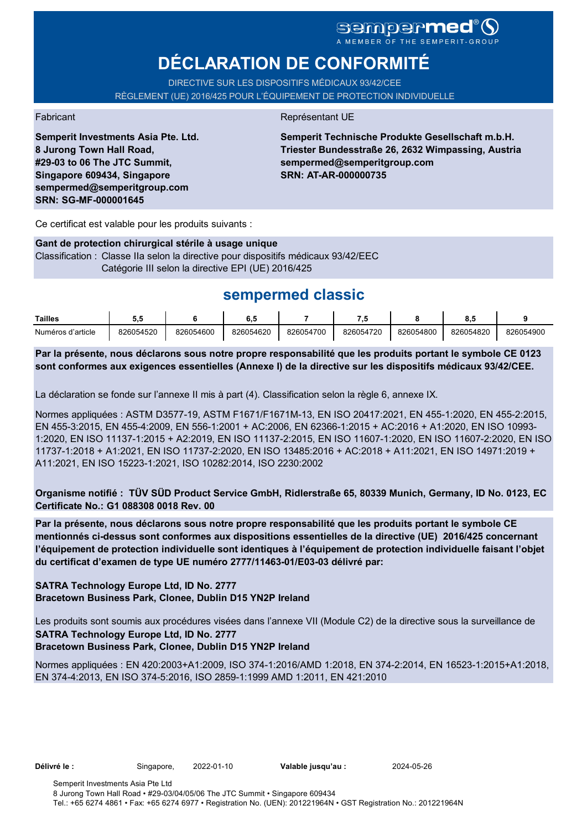# **DÉCLARATION DE CONFORMITÉ**

DIRECTIVE SUR LES DISPOSITIFS MÉDICAUX 93/42/CEE RÈGLEMENT (UE) 2016/425 POUR L'ÉQUIPEMENT DE PROTECTION INDIVIDUELLE

**Semperit Investments Asia Pte. Ltd. 8 Jurong Town Hall Road, #29-03 to 06 The JTC Summit, Singapore 609434, Singapore sempermed@semperitgroup.com SRN: SG-MF-000001645**

#### Fabricant **Représentant UE**

**Semperit Technische Produkte Gesellschaft m.b.H. Triester Bundesstraße 26, 2632 Wimpassing, Austria sempermed@semperitgroup.com SRN: AT-AR-000000735**

Ce certificat est valable pour les produits suivants :

### **Gant de protection chirurgical stérile à usage unique**

Classification : Classe IIa selon la directive pour dispositifs médicaux 93/42/EEC Catégorie III selon la directive EPI (UE) 2016/425

## **sempermed classic**

| Tailles           |           |           | υ.,       |           | - 1       |           | υ.,       |           |
|-------------------|-----------|-----------|-----------|-----------|-----------|-----------|-----------|-----------|
| Numéros d'article | 826054520 | 826054600 | 826054620 | 826054700 | 826054720 | 826054800 | 826054820 | 826054900 |

**Par la présente, nous déclarons sous notre propre responsabilité que les produits portant le symbole CE 0123 sont conformes aux exigences essentielles (Annexe I) de la directive sur les dispositifs médicaux 93/42/CEE.**

La déclaration se fonde sur l'annexe II mis à part (4). Classification selon la règle 6, annexe IX.

Normes appliquées : ASTM D3577-19, ASTM F1671/F1671M-13, EN ISO 20417:2021, EN 455-1:2020, EN 455-2:2015, EN 455-3:2015, EN 455-4:2009, EN 556-1:2001 + AC:2006, EN 62366-1:2015 + AC:2016 + A1:2020, EN ISO 10993- 1:2020, EN ISO 11137-1:2015 + A2:2019, EN ISO 11137-2:2015, EN ISO 11607-1:2020, EN ISO 11607-2:2020, EN ISO 11737-1:2018 + A1:2021, EN ISO 11737-2:2020, EN ISO 13485:2016 + AC:2018 + A11:2021, EN ISO 14971:2019 + A11:2021, EN ISO 15223-1:2021, ISO 10282:2014, ISO 2230:2002

**Organisme notifié : TÜV SÜD Product Service GmbH, Ridlerstraße 65, 80339 Munich, Germany, ID No. 0123, EC Certificate No.: G1 088308 0018 Rev. 00** 

**Par la présente, nous déclarons sous notre propre responsabilité que les produits portant le symbole CE mentionnés ci-dessus sont conformes aux dispositions essentielles de la directive (UE) 2016/425 concernant l'équipement de protection individuelle sont identiques à l'équipement de protection individuelle faisant l'objet du certificat d'examen de type UE numéro 2777/11463-01/E03-03 délivré par:**

#### **SATRA Technology Europe Ltd, ID No. 2777 Bracetown Business Park, Clonee, Dublin D15 YN2P Ireland**

Les produits sont soumis aux procédures visées dans l'annexe VII (Module C2) de la directive sous la surveillance de **SATRA Technology Europe Ltd, ID No. 2777**

### **Bracetown Business Park, Clonee, Dublin D15 YN2P Ireland**

Normes appliquées : EN 420:2003+A1:2009, ISO 374-1:2016/AMD 1:2018, EN 374-2:2014, EN 16523-1:2015+A1:2018, EN 374-4:2013, EN ISO 374-5:2016, ISO 2859-1:1999 AMD 1:2011, EN 421:2010

**Délivré le :** Singapore, **Valable jusqu'au :** 2022-01-10 2024-05-26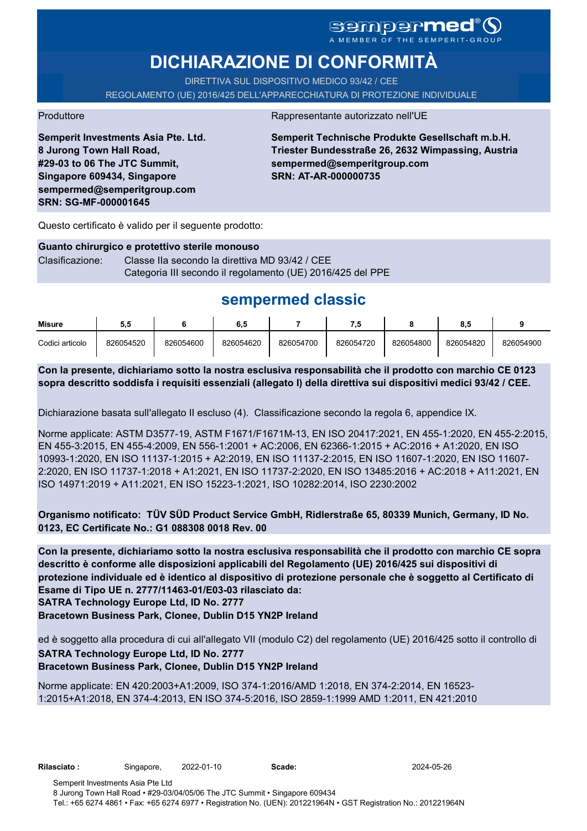# **DICHIARAZIONE DI CONFORMITÀ**

DIRETTIVA SUL DISPOSITIVO MEDICO 93/42 / CEE REGOLAMENTO (UE) 2016/425 DELL'APPARECCHIATURA DI PROTEZIONE INDIVIDUALE

Produttore Rappresentante autorizzato nell'UE

**Semperit Investments Asia Pte. Ltd. 8 Jurong Town Hall Road, #29-03 to 06 The JTC Summit, Singapore 609434, Singapore sempermed@semperitgroup.com SRN: SG-MF-000001645**

**Semperit Technische Produkte Gesellschaft m.b.H. Triester Bundesstraße 26, 2632 Wimpassing, Austria sempermed@semperitgroup.com SRN: AT-AR-000000735**

Questo certificato è valido per il seguente prodotto:

### **Guanto chirurgico e protettivo sterile monouso** Clasificazione: Classe IIa secondo la direttiva MD 93/42 / CEE Categoria III secondo il regolamento (UE) 2016/425 del PPE

# **sempermed classic**

| Misure          | ວ.ວ       |           | 6.5       |           |           |           | 8.S       |           |
|-----------------|-----------|-----------|-----------|-----------|-----------|-----------|-----------|-----------|
| Codici articolo | 826054520 | 826054600 | 826054620 | 826054700 | 826054720 | 826054800 | 826054820 | 826054900 |

**Con la presente, dichiariamo sotto la nostra esclusiva responsabilità che il prodotto con marchio CE 0123 sopra descritto soddisfa i requisiti essenziali (allegato I) della direttiva sui dispositivi medici 93/42 / CEE.**

Dichiarazione basata sull'allegato II escluso (4). Classificazione secondo la regola 6, appendice IX.

Norme applicate: ASTM D3577-19, ASTM F1671/F1671M-13, EN ISO 20417:2021, EN 455-1:2020, EN 455-2:2015, EN 455-3:2015, EN 455-4:2009, EN 556-1:2001 + AC:2006, EN 62366-1:2015 + AC:2016 + A1:2020, EN ISO 10993-1:2020, EN ISO 11137-1:2015 + A2:2019, EN ISO 11137-2:2015, EN ISO 11607-1:2020, EN ISO 11607- 2:2020, EN ISO 11737-1:2018 + A1:2021, EN ISO 11737-2:2020, EN ISO 13485:2016 + AC:2018 + A11:2021, EN ISO 14971:2019 + A11:2021, EN ISO 15223-1:2021, ISO 10282:2014, ISO 2230:2002

**Organismo notificato: TÜV SÜD Product Service GmbH, Ridlerstraße 65, 80339 Munich, Germany, ID No. 0123, EC Certificate No.: G1 088308 0018 Rev. 00** 

**SATRA Technology Europe Ltd, ID No. 2777 Con la presente, dichiariamo sotto la nostra esclusiva responsabilità che il prodotto con marchio CE sopra descritto è conforme alle disposizioni applicabili del Regolamento (UE) 2016/425 sui dispositivi di protezione individuale ed è identico al dispositivo di protezione personale che è soggetto al Certificato di Esame di Tipo UE n. 2777/11463-01/E03-03 rilasciato da:**

**Bracetown Business Park, Clonee, Dublin D15 YN2P Ireland**

ed è soggetto alla procedura di cui all'allegato VII (modulo C2) del regolamento (UE) 2016/425 sotto il controllo di **SATRA Technology Europe Ltd, ID No. 2777**

### **Bracetown Business Park, Clonee, Dublin D15 YN2P Ireland**

Norme applicate: EN 420:2003+A1:2009, ISO 374-1:2016/AMD 1:2018, EN 374-2:2014, EN 16523- 1:2015+A1:2018, EN 374-4:2013, EN ISO 374-5:2016, ISO 2859-1:1999 AMD 1:2011, EN 421:2010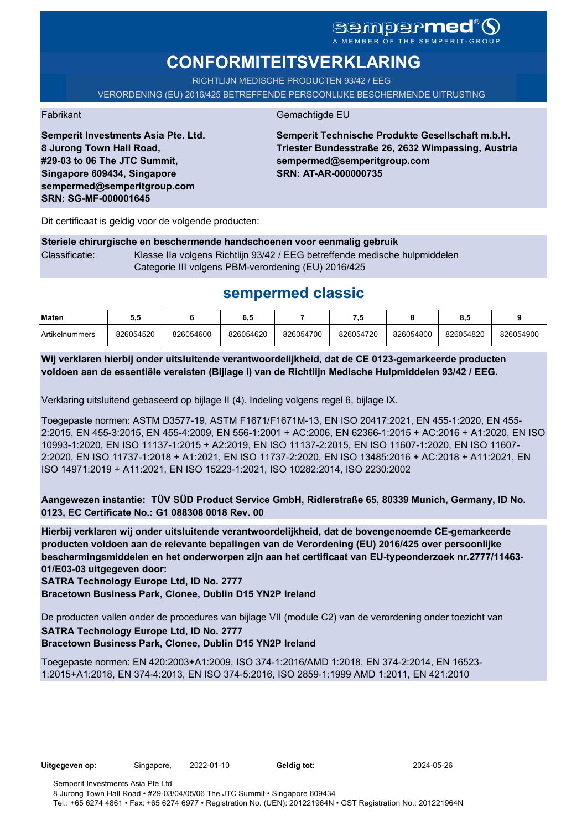# **CONFORMITEITSVERKLARING**

RICHTLIJN MEDISCHE PRODUCTEN 93/42 / EEG

VERORDENING (EU) 2016/425 BETREFFENDE PERSOONLIJKE BESCHERMENDE UITRUSTING

Fabrikant Gemachtigde EU

**Semperit Technische Produkte Gesellschaft m.b.H. Triester Bundesstraße 26, 2632 Wimpassing, Austria sempermed@semperitgroup.com SRN: AT-AR-000000735**

Dit certificaat is geldig voor de volgende producten:

**Semperit Investments Asia Pte. Ltd.**

**8 Jurong Town Hall Road, #29-03 to 06 The JTC Summit, Singapore 609434, Singapore sempermed@semperitgroup.com**

**SRN: SG-MF-000001645**

**Steriele chirurgische en beschermende handschoenen voor eenmalig gebruik** Classificatie: Klasse IIa volgens Richtlijn 93/42 / EEG betreffende medische hulpmiddelen Categorie III volgens PBM-verordening (EU) 2016/425

## **sempermed classic**

| Maten          | u.        |           | e 1<br>ο  |           |           |           | $\mathbf{u} \cdot \mathbf{v}$ |           |
|----------------|-----------|-----------|-----------|-----------|-----------|-----------|-------------------------------|-----------|
| Artikelnummers | 826054520 | 826054600 | 826054620 | 826054700 | 826054720 | 826054800 | 826054820                     | 826054900 |

**Wij verklaren hierbij onder uitsluitende verantwoordelijkheid, dat de CE 0123-gemarkeerde producten voldoen aan de essentiële vereisten (Bijlage I) van de Richtlijn Medische Hulpmiddelen 93/42 / EEG.**

Verklaring uitsluitend gebaseerd op bijlage II (4). Indeling volgens regel 6, bijlage IX.

Toegepaste normen: ASTM D3577-19, ASTM F1671/F1671M-13, EN ISO 20417:2021, EN 455-1:2020, EN 455- 2:2015, EN 455-3:2015, EN 455-4:2009, EN 556-1:2001 + AC:2006, EN 62366-1:2015 + AC:2016 + A1:2020, EN ISO 10993-1:2020, EN ISO 11137-1:2015 + A2:2019, EN ISO 11137-2:2015, EN ISO 11607-1:2020, EN ISO 11607- 2:2020, EN ISO 11737-1:2018 + A1:2021, EN ISO 11737-2:2020, EN ISO 13485:2016 + AC:2018 + A11:2021, EN ISO 14971:2019 + A11:2021, EN ISO 15223-1:2021, ISO 10282:2014, ISO 2230:2002

**Aangewezen instantie: TÜV SÜD Product Service GmbH, Ridlerstraße 65, 80339 Munich, Germany, ID No. 0123, EC Certificate No.: G1 088308 0018 Rev. 00** 

**Hierbij verklaren wij onder uitsluitende verantwoordelijkheid, dat de bovengenoemde CE-gemarkeerde producten voldoen aan de relevante bepalingen van de Verordening (EU) 2016/425 over persoonlijke beschermingsmiddelen en het onderworpen zijn aan het certificaat van EU-typeonderzoek nr.2777/11463- 01/E03-03 uitgegeven door:**

**SATRA Technology Europe Ltd, ID No. 2777**

**Bracetown Business Park, Clonee, Dublin D15 YN2P Ireland**

De producten vallen onder de procedures van bijlage VII (module C2) van de verordening onder toezicht van **SATRA Technology Europe Ltd, ID No. 2777 Bracetown Business Park, Clonee, Dublin D15 YN2P Ireland**

Toegepaste normen: EN 420:2003+A1:2009, ISO 374-1:2016/AMD 1:2018, EN 374-2:2014, EN 16523- 1:2015+A1:2018, EN 374-4:2013, EN ISO 374-5:2016, ISO 2859-1:1999 AMD 1:2011, EN 421:2010

**Uitgegeven op:** Singapore, 2022-01-10

Geldig tot: 2024-05-26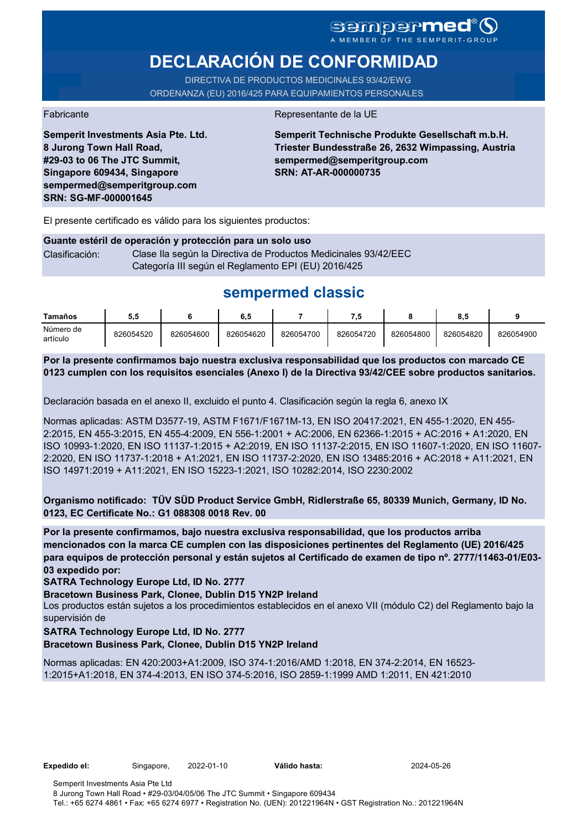# **DECLARACIÓN DE CONFORMIDAD**

DIRECTIVA DE PRODUCTOS MEDICINALES 93/42/EWG ORDENANZA (EU) 2016/425 PARA EQUIPAMIENTOS PERSONALES

**Semperit Investments Asia Pte. Ltd.**

**8 Jurong Town Hall Road, #29-03 to 06 The JTC Summit, Singapore 609434, Singapore sempermed@semperitgroup.com**

**SRN: SG-MF-000001645**

Fabricante de la UE

**Semperit Technische Produkte Gesellschaft m.b.H. Triester Bundesstraße 26, 2632 Wimpassing, Austria sempermed@semperitgroup.com SRN: AT-AR-000000735**

El presente certificado es válido para los siguientes productos:

**Guante estéril de operación y protección para un solo uso** Clasificación: Clase Ila según la Directiva de Productos Medicinales 93/42/EEC Categoría III según el Reglamento EPI (EU) 2016/425

## **sempermed classic**

| Tamaños               | 5.5       |           | 6,5       |           |           |           | 8.5       |           |
|-----------------------|-----------|-----------|-----------|-----------|-----------|-----------|-----------|-----------|
| Número de<br>artículo | 826054520 | 826054600 | 826054620 | 826054700 | 826054720 | 826054800 | 826054820 | 826054900 |

**Por la presente confirmamos bajo nuestra exclusiva responsabilidad que los productos con marcado CE 0123 cumplen con los requisitos esenciales (Anexo I) de la Directiva 93/42/CEE sobre productos sanitarios.**

Declaración basada en el anexo II, excluido el punto 4. Clasificación según la regla 6, anexo IX

Normas aplicadas: ASTM D3577-19, ASTM F1671/F1671M-13, EN ISO 20417:2021, EN 455-1:2020, EN 455- 2:2015, EN 455-3:2015, EN 455-4:2009, EN 556-1:2001 + AC:2006, EN 62366-1:2015 + AC:2016 + A1:2020, EN ISO 10993-1:2020, EN ISO 11137-1:2015 + A2:2019, EN ISO 11137-2:2015, EN ISO 11607-1:2020, EN ISO 11607- 2:2020, EN ISO 11737-1:2018 + A1:2021, EN ISO 11737-2:2020, EN ISO 13485:2016 + AC:2018 + A11:2021, EN ISO 14971:2019 + A11:2021, EN ISO 15223-1:2021, ISO 10282:2014, ISO 2230:2002

**Organismo notificado: TÜV SÜD Product Service GmbH, Ridlerstraße 65, 80339 Munich, Germany, ID No. 0123, EC Certificate No.: G1 088308 0018 Rev. 00** 

**Por la presente confirmamos, bajo nuestra exclusiva responsabilidad, que los productos arriba mencionados con la marca CE cumplen con las disposiciones pertinentes del Reglamento (UE) 2016/425 para equipos de protección personal y están sujetos al Certificado de examen de tipo nº. 2777/11463-01/E03- 03 expedido por:**

**SATRA Technology Europe Ltd, ID No. 2777**

**Bracetown Business Park, Clonee, Dublin D15 YN2P Ireland**

Los productos están sujetos a los procedimientos establecidos en el anexo VII (módulo C2) del Reglamento bajo la supervisión de

#### **SATRA Technology Europe Ltd, ID No. 2777**

**Bracetown Business Park, Clonee, Dublin D15 YN2P Ireland**

Normas aplicadas: EN 420:2003+A1:2009, ISO 374-1:2016/AMD 1:2018, EN 374-2:2014, EN 16523- 1:2015+A1:2018, EN 374-4:2013, EN ISO 374-5:2016, ISO 2859-1:1999 AMD 1:2011, EN 421:2010

Válido hasta: 2024-05-26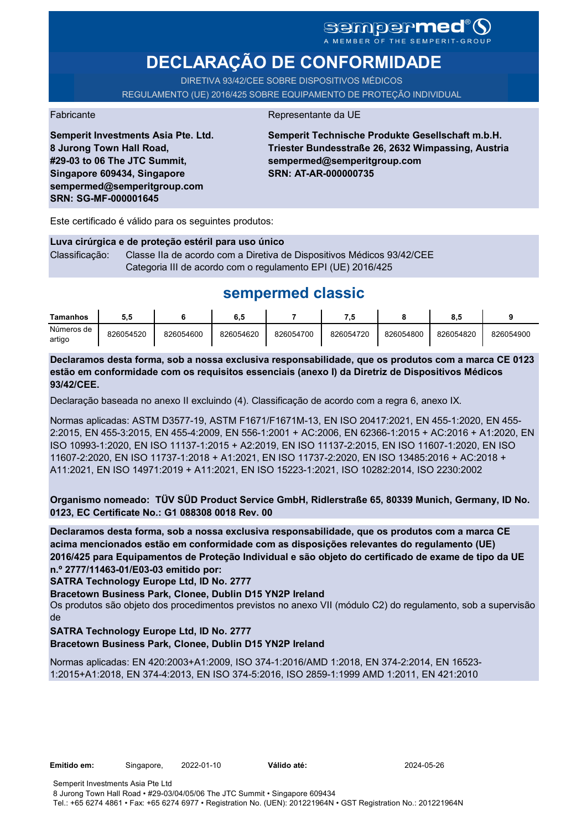# SGMDGP**MCC**<sup>®</sup>

# **DECLARAÇÃO DE CONFORMIDADE**

DIRETIVA 93/42/CEE SOBRE DISPOSITIVOS MÉDICOS REGULAMENTO (UE) 2016/425 SOBRE EQUIPAMENTO DE PROTEÇÃO INDIVIDUAL

#### Fabricante **Representante da UE**

**Semperit Investments Asia Pte. Ltd. 8 Jurong Town Hall Road, #29-03 to 06 The JTC Summit, Singapore 609434, Singapore sempermed@semperitgroup.com SRN: SG-MF-000001645**

**Semperit Technische Produkte Gesellschaft m.b.H. Triester Bundesstraße 26, 2632 Wimpassing, Austria sempermed@semperitgroup.com SRN: AT-AR-000000735**

Este certificado é válido para os seguintes produtos:

**Luva cirúrgica e de proteção estéril para uso único** Classificação: Classe IIa de acordo com a Diretiva de Dispositivos Médicos 93/42/CEE Categoria III de acordo com o regulamento EPI (UE) 2016/425

## **sempermed classic**

| Tamanhos             | 5.5       |           | 6.5       |           | - 9       |           | o<br>о.с  |           |
|----------------------|-----------|-----------|-----------|-----------|-----------|-----------|-----------|-----------|
| Números de<br>artigo | 826054520 | 826054600 | 826054620 | 826054700 | 826054720 | 826054800 | 826054820 | 826054900 |

**Declaramos desta forma, sob a nossa exclusiva responsabilidade, que os produtos com a marca CE 0123 estão em conformidade com os requisitos essenciais (anexo I) da Diretriz de Dispositivos Médicos 93/42/CEE.**

Declaração baseada no anexo II excluindo (4). Classificação de acordo com a regra 6, anexo IX.

Normas aplicadas: ASTM D3577-19, ASTM F1671/F1671M-13, EN ISO 20417:2021, EN 455-1:2020, EN 455- 2:2015, EN 455-3:2015, EN 455-4:2009, EN 556-1:2001 + AC:2006, EN 62366-1:2015 + AC:2016 + A1:2020, EN ISO 10993-1:2020, EN ISO 11137-1:2015 + A2:2019, EN ISO 11137-2:2015, EN ISO 11607-1:2020, EN ISO 11607-2:2020, EN ISO 11737-1:2018 + A1:2021, EN ISO 11737-2:2020, EN ISO 13485:2016 + AC:2018 + A11:2021, EN ISO 14971:2019 + A11:2021, EN ISO 15223-1:2021, ISO 10282:2014, ISO 2230:2002

**Organismo nomeado: TÜV SÜD Product Service GmbH, Ridlerstraße 65, 80339 Munich, Germany, ID No. 0123, EC Certificate No.: G1 088308 0018 Rev. 00** 

**Declaramos desta forma, sob a nossa exclusiva responsabilidade, que os produtos com a marca CE acima mencionados estão em conformidade com as disposições relevantes do regulamento (UE) 2016/425 para Equipamentos de Proteção Individual e são objeto do certificado de exame de tipo da UE n.º 2777/11463-01/E03-03 emitido por:**

**SATRA Technology Europe Ltd, ID No. 2777**

**Bracetown Business Park, Clonee, Dublin D15 YN2P Ireland**

Os produtos são objeto dos procedimentos previstos no anexo VII (módulo C2) do regulamento, sob a supervisão de

**SATRA Technology Europe Ltd, ID No. 2777**

**Bracetown Business Park, Clonee, Dublin D15 YN2P Ireland**

Normas aplicadas: EN 420:2003+A1:2009, ISO 374-1:2016/AMD 1:2018, EN 374-2:2014, EN 16523- 1:2015+A1:2018, EN 374-4:2013, EN ISO 374-5:2016, ISO 2859-1:1999 AMD 1:2011, EN 421:2010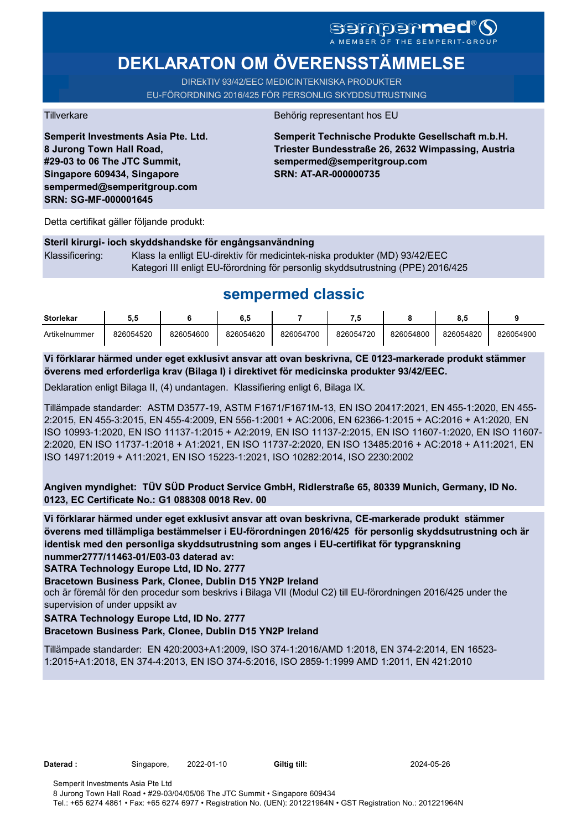# **DEKLARATON OM ÖVERENSSTÄMMELSE**

DIREkTIV 93/42/EEC MEDICINTEKNISKA PRODUKTER EU-FÖRORDNING 2016/425 FÖR PERSONLIG SKYDDSUTRUSTNING

**Semperit Investments Asia Pte. Ltd. 8 Jurong Town Hall Road, #29-03 to 06 The JTC Summit, Singapore 609434, Singapore sempermed@semperitgroup.com SRN: SG-MF-000001645**

#### Tillverkare Behörig representant hos EU

**Semperit Technische Produkte Gesellschaft m.b.H. Triester Bundesstraße 26, 2632 Wimpassing, Austria sempermed@semperitgroup.com SRN: AT-AR-000000735**

Detta certifikat gäller följande produkt:

**Steril kirurgi- ioch skyddshandske för engångsanvändning**  Klassificering: Klass Ia enlligt EU-direktiv för medicintek-niska produkter (MD) 93/42/EEC Kategori III enligt EU-förordning för personlig skyddsutrustning (PPE) 2016/425

## **sempermed classic**

| <b>Storlekar</b> | ວ.ວ       |           | 6,5       |           |           |           |           |           |
|------------------|-----------|-----------|-----------|-----------|-----------|-----------|-----------|-----------|
| Artikelnummer    | 826054520 | 826054600 | 826054620 | 826054700 | 826054720 | 826054800 | 826054820 | 826054900 |

**Vi förklarar härmed under eget exklusivt ansvar att ovan beskrivna, CE 0123-markerade produkt stämmer överens med erforderliga krav (Bilaga I) i direktivet för medicinska produkter 93/42/EEC.**

Deklaration enligt Bilaga II, (4) undantagen. Klassifiering enligt 6, Bilaga IX.

Tillämpade standarder: ASTM D3577-19, ASTM F1671/F1671M-13, EN ISO 20417:2021, EN 455-1:2020, EN 455- 2:2015, EN 455-3:2015, EN 455-4:2009, EN 556-1:2001 + AC:2006, EN 62366-1:2015 + AC:2016 + A1:2020, EN ISO 10993-1:2020, EN ISO 11137-1:2015 + A2:2019, EN ISO 11137-2:2015, EN ISO 11607-1:2020, EN ISO 11607- 2:2020, EN ISO 11737-1:2018 + A1:2021, EN ISO 11737-2:2020, EN ISO 13485:2016 + AC:2018 + A11:2021, EN ISO 14971:2019 + A11:2021, EN ISO 15223-1:2021, ISO 10282:2014, ISO 2230:2002

**Angiven myndighet: TÜV SÜD Product Service GmbH, Ridlerstraße 65, 80339 Munich, Germany, ID No. 0123, EC Certificate No.: G1 088308 0018 Rev. 00** 

**Vi förklarar härmed under eget exklusivt ansvar att ovan beskrivna, CE-markerade produkt stämmer överens med tillämpliga bestämmelser i EU-förordningen 2016/425 för personlig skyddsutrustning och är identisk med den personliga skyddsutrustning som anges i EU-certifikat för typgranskning nummer2777/11463-01/E03-03 daterad av:**

**SATRA Technology Europe Ltd, ID No. 2777**

**Bracetown Business Park, Clonee, Dublin D15 YN2P Ireland**

och är föremål för den procedur som beskrivs i Bilaga VII (Modul C2) till EU-förordningen 2016/425 under the supervision of under uppsikt av

#### **SATRA Technology Europe Ltd, ID No. 2777**

#### **Bracetown Business Park, Clonee, Dublin D15 YN2P Ireland**

Tillämpade standarder: EN 420:2003+A1:2009, ISO 374-1:2016/AMD 1:2018, EN 374-2:2014, EN 16523- 1:2015+A1:2018, EN 374-4:2013, EN ISO 374-5:2016, ISO 2859-1:1999 AMD 1:2011, EN 421:2010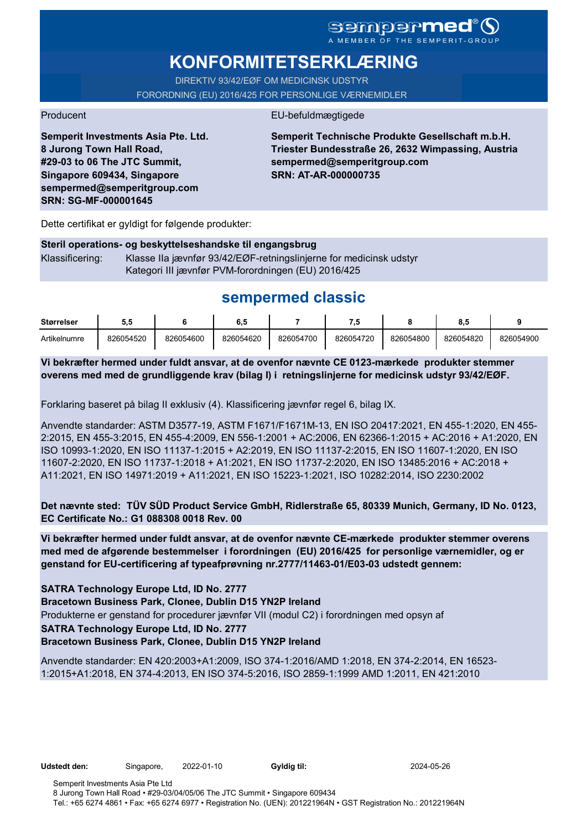# **KONFORMITETSERKLÆRING**

DIREKTIV 93/42/EØF OM MEDICINSK UDSTYR FORORDNING (EU) 2016/425 FOR PERSONLIGE VÆRNEMIDLER

#### Producent EU-befuldmægtigede

**Semperit Investments Asia Pte. Ltd. 8 Jurong Town Hall Road, #29-03 to 06 The JTC Summit, Singapore 609434, Singapore sempermed@semperitgroup.com SRN: SG-MF-000001645**

**Semperit Technische Produkte Gesellschaft m.b.H. Triester Bundesstraße 26, 2632 Wimpassing, Austria sempermed@semperitgroup.com SRN: AT-AR-000000735**

Dette certifikat er gyldigt for følgende produkter:

| Steril operations- og beskyttelseshandske til engangsbrug |                                                                    |  |  |  |  |  |  |
|-----------------------------------------------------------|--------------------------------------------------------------------|--|--|--|--|--|--|
| Klassificering:                                           | Klasse IIa jævnfør 93/42/EØF-retningslinjerne for medicinsk udstyr |  |  |  |  |  |  |
|                                                           | Kategori III jævnfør PVM-forordningen (EU) 2016/425                |  |  |  |  |  |  |

## **sempermed classic**

| <b>Størrelser</b> | .         |           | o.c       |           |           |           |           |           |
|-------------------|-----------|-----------|-----------|-----------|-----------|-----------|-----------|-----------|
| Artikelnumre      | 826054520 | 826054600 | 826054620 | 826054700 | 826054720 | 826054800 | 826054820 | 826054900 |

**Vi bekræfter hermed under fuldt ansvar, at de ovenfor nævnte CE 0123-mærkede produkter stemmer overens med med de grundliggende krav (bilag I) i retningslinjerne for medicinsk udstyr 93/42/EØF.**

Forklaring baseret på bilag II exklusiv (4). Klassificering jævnfør regel 6, bilag IX.

Anvendte standarder: ASTM D3577-19, ASTM F1671/F1671M-13, EN ISO 20417:2021, EN 455-1:2020, EN 455- 2:2015, EN 455-3:2015, EN 455-4:2009, EN 556-1:2001 + AC:2006, EN 62366-1:2015 + AC:2016 + A1:2020, EN ISO 10993-1:2020, EN ISO 11137-1:2015 + A2:2019, EN ISO 11137-2:2015, EN ISO 11607-1:2020, EN ISO 11607-2:2020, EN ISO 11737-1:2018 + A1:2021, EN ISO 11737-2:2020, EN ISO 13485:2016 + AC:2018 + A11:2021, EN ISO 14971:2019 + A11:2021, EN ISO 15223-1:2021, ISO 10282:2014, ISO 2230:2002

**Det nævnte sted: TÜV SÜD Product Service GmbH, Ridlerstraße 65, 80339 Munich, Germany, ID No. 0123, EC Certificate No.: G1 088308 0018 Rev. 00** 

**Vi bekræfter hermed under fuldt ansvar, at de ovenfor nævnte CE-mærkede produkter stemmer overens med med de afgørende bestemmelser i forordningen (EU) 2016/425 for personlige værnemidler, og er genstand for EU-certificering af typeafprøvning nr.2777/11463-01/E03-03 udstedt gennem:**

### **SATRA Technology Europe Ltd, ID No. 2777**

**Bracetown Business Park, Clonee, Dublin D15 YN2P Ireland**

Produkterne er genstand for procedurer jævnfør VII (modul C2) i forordningen med opsyn af

### **SATRA Technology Europe Ltd, ID No. 2777**

**Bracetown Business Park, Clonee, Dublin D15 YN2P Ireland**

Anvendte standarder: EN 420:2003+A1:2009, ISO 374-1:2016/AMD 1:2018, EN 374-2:2014, EN 16523- 1:2015+A1:2018, EN 374-4:2013, EN ISO 374-5:2016, ISO 2859-1:1999 AMD 1:2011, EN 421:2010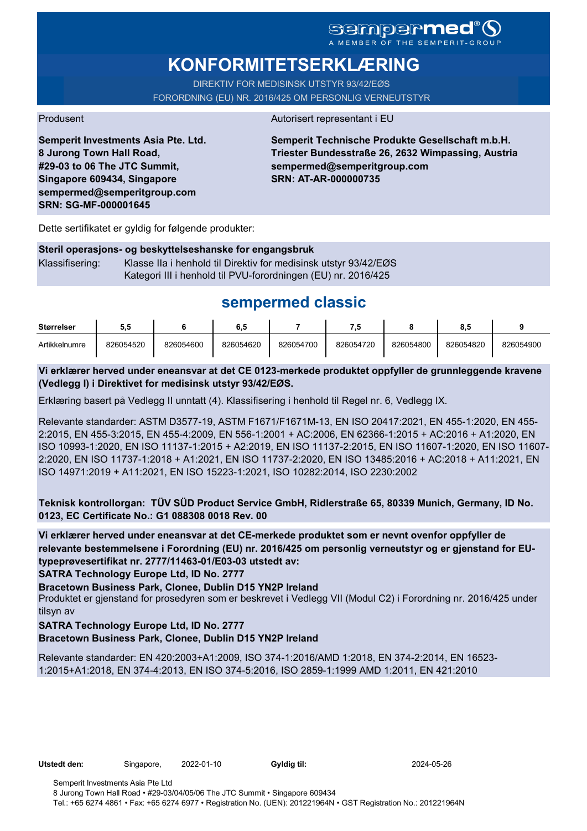# **KONFORMITETSERKLÆRING**

DIREKTIV FOR MEDISINSK UTSTYR 93/42/EØS FORORDNING (EU) NR. 2016/425 OM PERSONLIG VERNEUTSTYR

#### Produsent Autorisert representant i EU

**Semperit Investments Asia Pte. Ltd. 8 Jurong Town Hall Road, #29-03 to 06 The JTC Summit, Singapore 609434, Singapore sempermed@semperitgroup.com SRN: SG-MF-000001645**

**Semperit Technische Produkte Gesellschaft m.b.H. Triester Bundesstraße 26, 2632 Wimpassing, Austria sempermed@semperitgroup.com SRN: AT-AR-000000735**

Dette sertifikatet er gyldig for følgende produkter:

#### **Steril operasjons- og beskyttelseshanske for engangsbruk**

Klassifisering: Klasse IIa i henhold til Direktiv for medisinsk utstyr 93/42/EØS Kategori III i henhold til PVU-forordningen (EU) nr. 2016/425

## **sempermed classic**

| <b>Størrelser</b> | ບ.ບ       |           | o.c       |           | - 7       |           | υ.,       |           |
|-------------------|-----------|-----------|-----------|-----------|-----------|-----------|-----------|-----------|
| Artikkelnumre     | 826054520 | 826054600 | 826054620 | 826054700 | 826054720 | 826054800 | 826054820 | 826054900 |

#### **Vi erklærer herved under eneansvar at det CE 0123-merkede produktet oppfyller de grunnleggende kravene (Vedlegg I) i Direktivet for medisinsk utstyr 93/42/EØS.**

Erklæring basert på Vedlegg II unntatt (4). Klassifisering i henhold til Regel nr. 6, Vedlegg IX.

Relevante standarder: ASTM D3577-19, ASTM F1671/F1671M-13, EN ISO 20417:2021, EN 455-1:2020, EN 455- 2:2015, EN 455-3:2015, EN 455-4:2009, EN 556-1:2001 + AC:2006, EN 62366-1:2015 + AC:2016 + A1:2020, EN ISO 10993-1:2020, EN ISO 11137-1:2015 + A2:2019, EN ISO 11137-2:2015, EN ISO 11607-1:2020, EN ISO 11607- 2:2020, EN ISO 11737-1:2018 + A1:2021, EN ISO 11737-2:2020, EN ISO 13485:2016 + AC:2018 + A11:2021, EN ISO 14971:2019 + A11:2021, EN ISO 15223-1:2021, ISO 10282:2014, ISO 2230:2002

**Teknisk kontrollorgan: TÜV SÜD Product Service GmbH, Ridlerstraße 65, 80339 Munich, Germany, ID No. 0123, EC Certificate No.: G1 088308 0018 Rev. 00** 

**Vi erklærer herved under eneansvar at det CE-merkede produktet som er nevnt ovenfor oppfyller de relevante bestemmelsene i Forordning (EU) nr. 2016/425 om personlig verneutstyr og er gjenstand for EUtypeprøvesertifikat nr. 2777/11463-01/E03-03 utstedt av:**

**SATRA Technology Europe Ltd, ID No. 2777**

**Bracetown Business Park, Clonee, Dublin D15 YN2P Ireland**

Produktet er gjenstand for prosedyren som er beskrevet i Vedlegg VII (Modul C2) i Forordning nr. 2016/425 under tilsyn av

#### **SATRA Technology Europe Ltd, ID No. 2777**

**Bracetown Business Park, Clonee, Dublin D15 YN2P Ireland**

Relevante standarder: EN 420:2003+A1:2009, ISO 374-1:2016/AMD 1:2018, EN 374-2:2014, EN 16523- 1:2015+A1:2018, EN 374-4:2013, EN ISO 374-5:2016, ISO 2859-1:1999 AMD 1:2011, EN 421:2010

| Utstedt den: | Singapore, | 2022-01-10 | Gyldig til: | 2024-05-26 |
|--------------|------------|------------|-------------|------------|
|              |            |            |             |            |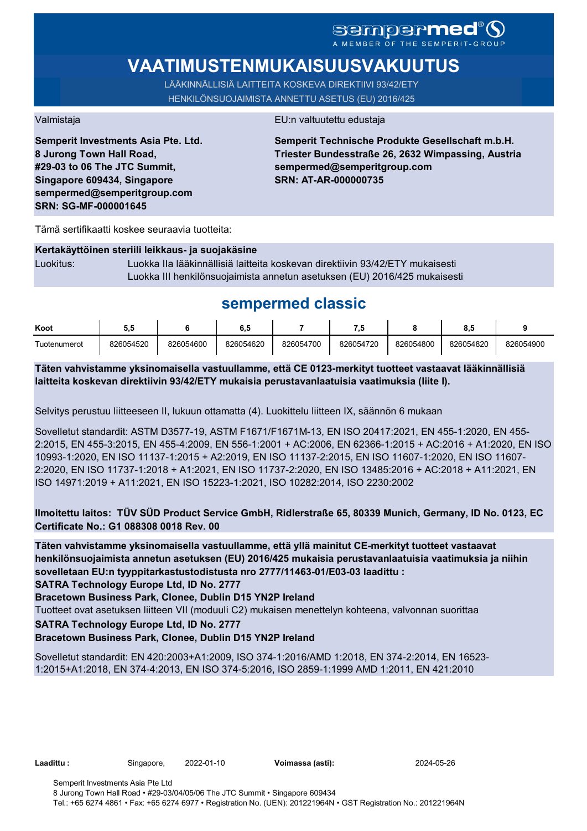# SCMDOCPMCO

# **VAATIMUSTENMUKAISUUSVAKUUTUS**

LÄÄKINNÄLLISIÄ LAITTEITA KOSKEVA DIREKTIIVI 93/42/ETY HENKILÖNSUOJAIMISTA ANNETTU ASETUS (EU) 2016/425

**Semperit Investments Asia Pte. Ltd. 8 Jurong Town Hall Road, #29-03 to 06 The JTC Summit, Singapore 609434, Singapore sempermed@semperitgroup.com SRN: SG-MF-000001645**

#### Valmistaja EU:n valtuutettu edustaja

**Semperit Technische Produkte Gesellschaft m.b.H. Triester Bundesstraße 26, 2632 Wimpassing, Austria sempermed@semperitgroup.com SRN: AT-AR-000000735**

Tämä sertifikaatti koskee seuraavia tuotteita:

#### **Kertakäyttöinen steriili leikkaus- ja suojakäsine**

Luokitus: Luokka IIa lääkinnällisiä laitteita koskevan direktiivin 93/42/ETY mukaisesti Luokka III henkilönsuojaimista annetun asetuksen (EU) 2016/425 mukaisesti

## **sempermed classic**

| Koot         | J.v       |           | υ.,       |           |           |           | v.v       |           |
|--------------|-----------|-----------|-----------|-----------|-----------|-----------|-----------|-----------|
| Tuotenumerot | 826054520 | 826054600 | 826054620 | 826054700 | 826054720 | 826054800 | 826054820 | 826054900 |

**Täten vahvistamme yksinomaisella vastuullamme, että CE 0123-merkityt tuotteet vastaavat lääkinnällisiä laitteita koskevan direktiivin 93/42/ETY mukaisia perustavanlaatuisia vaatimuksia (liite I).**

Selvitys perustuu liitteeseen II, lukuun ottamatta (4). Luokittelu liitteen IX, säännön 6 mukaan

Sovelletut standardit: ASTM D3577-19, ASTM F1671/F1671M-13, EN ISO 20417:2021, EN 455-1:2020, EN 455- 2:2015, EN 455-3:2015, EN 455-4:2009, EN 556-1:2001 + AC:2006, EN 62366-1:2015 + AC:2016 + A1:2020, EN ISO 10993-1:2020, EN ISO 11137-1:2015 + A2:2019, EN ISO 11137-2:2015, EN ISO 11607-1:2020, EN ISO 11607- 2:2020, EN ISO 11737-1:2018 + A1:2021, EN ISO 11737-2:2020, EN ISO 13485:2016 + AC:2018 + A11:2021, EN ISO 14971:2019 + A11:2021, EN ISO 15223-1:2021, ISO 10282:2014, ISO 2230:2002

### **Ilmoitettu laitos: TÜV SÜD Product Service GmbH, Ridlerstraße 65, 80339 Munich, Germany, ID No. 0123, EC Certificate No.: G1 088308 0018 Rev. 00**

**Täten vahvistamme yksinomaisella vastuullamme, että yllä mainitut CE-merkityt tuotteet vastaavat henkilönsuojaimista annetun asetuksen (EU) 2016/425 mukaisia perustavanlaatuisia vaatimuksia ja niihin sovelletaan EU:n tyyppitarkastustodistusta nro 2777/11463-01/E03-03 laadittu :**

**SATRA Technology Europe Ltd, ID No. 2777**

**Bracetown Business Park, Clonee, Dublin D15 YN2P Ireland**

Tuotteet ovat asetuksen liitteen VII (moduuli C2) mukaisen menettelyn kohteena, valvonnan suorittaa

**SATRA Technology Europe Ltd, ID No. 2777**

#### **Bracetown Business Park, Clonee, Dublin D15 YN2P Ireland**

Sovelletut standardit: EN 420:2003+A1:2009, ISO 374-1:2016/AMD 1:2018, EN 374-2:2014, EN 16523- 1:2015+A1:2018, EN 374-4:2013, EN ISO 374-5:2016, ISO 2859-1:1999 AMD 1:2011, EN 421:2010

**Laadittu :** Singapore, 2022-01-10 **Voimassa (asti):** 2024-05-26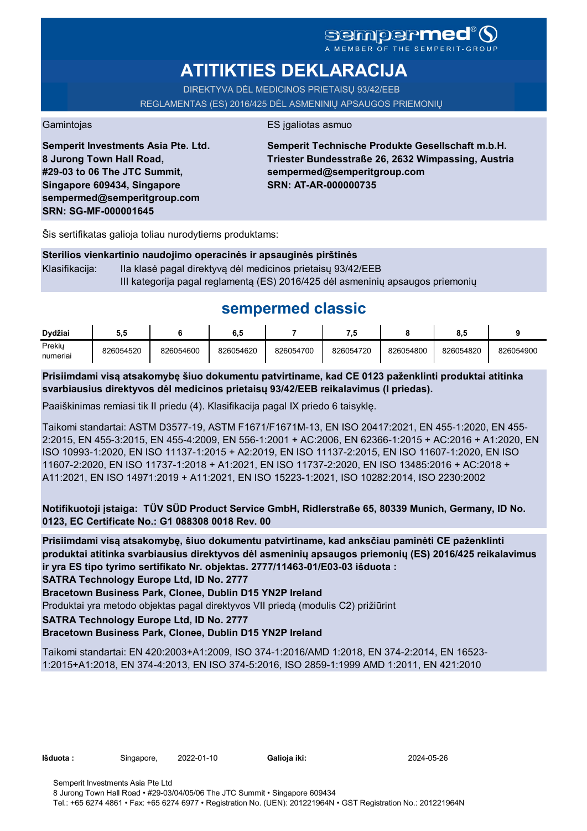# **ATITIKTIES DEKLARACIJA**

DIREKTYVA DĖL MEDICINOS PRIETAISŲ 93/42/EEB REGLAMENTAS (ES) 2016/425 DĖL ASMENINIŲ APSAUGOS PRIEMONIŲ

Gamintojas **ES** įgaliotas asmuo

**Semperit Investments Asia Pte. Ltd. 8 Jurong Town Hall Road, #29-03 to 06 The JTC Summit, Singapore 609434, Singapore sempermed@semperitgroup.com SRN: SG-MF-000001645**

**Semperit Technische Produkte Gesellschaft m.b.H. Triester Bundesstraße 26, 2632 Wimpassing, Austria sempermed@semperitgroup.com SRN: AT-AR-000000735**

Šis sertifikatas galioja toliau nurodytiems produktams:

**Sterilios vienkartinio naudojimo operacinės ir apsauginės pirštinės** Klasifikacija: Ila klasė pagal direktyva dėl medicinos prietaisų 93/42/EEB III kategorija pagal reglamentą (ES) 2016/425 dėl asmeninių apsaugos priemonių

# **sempermed classic**

| Dvdžiai            | 5.5       |           | ο. c      |           | ۰.        |           | 0<br>υ.,  |           |
|--------------------|-----------|-----------|-----------|-----------|-----------|-----------|-----------|-----------|
| Prekiy<br>numeriai | 826054520 | 826054600 | 826054620 | 826054700 | 826054720 | 826054800 | 826054820 | 826054900 |

**Prisiimdami visą atsakomybę šiuo dokumentu patvirtiname, kad CE 0123 paženklinti produktai atitinka svarbiausius direktyvos dėl medicinos prietaisų 93/42/EEB reikalavimus (I priedas).**

Paaiškinimas remiasi tik II priedu (4). Klasifikacija pagal IX priedo 6 taisyklę.

Taikomi standartai: ASTM D3577-19, ASTM F1671/F1671M-13, EN ISO 20417:2021, EN 455-1:2020, EN 455- 2:2015, EN 455-3:2015, EN 455-4:2009, EN 556-1:2001 + AC:2006, EN 62366-1:2015 + AC:2016 + A1:2020, EN ISO 10993-1:2020, EN ISO 11137-1:2015 + A2:2019, EN ISO 11137-2:2015, EN ISO 11607-1:2020, EN ISO 11607-2:2020, EN ISO 11737-1:2018 + A1:2021, EN ISO 11737-2:2020, EN ISO 13485:2016 + AC:2018 + A11:2021, EN ISO 14971:2019 + A11:2021, EN ISO 15223-1:2021, ISO 10282:2014, ISO 2230:2002

**Notifikuotoji įstaiga: TÜV SÜD Product Service GmbH, Ridlerstraße 65, 80339 Munich, Germany, ID No. 0123, EC Certificate No.: G1 088308 0018 Rev. 00** 

**Prisiimdami visą atsakomybę, šiuo dokumentu patvirtiname, kad anksčiau paminėti CE paženklinti produktai atitinka svarbiausius direktyvos dėl asmeninių apsaugos priemonių (ES) 2016/425 reikalavimus ir yra ES tipo tyrimo sertifikato Nr. objektas. 2777/11463-01/E03-03 išduota :**

**SATRA Technology Europe Ltd, ID No. 2777**

**Bracetown Business Park, Clonee, Dublin D15 YN2P Ireland**

Produktai yra metodo objektas pagal direktyvos VII priedą (modulis C2) prižiūrint

**SATRA Technology Europe Ltd, ID No. 2777**

### **Bracetown Business Park, Clonee, Dublin D15 YN2P Ireland**

Taikomi standartai: EN 420:2003+A1:2009, ISO 374-1:2016/AMD 1:2018, EN 374-2:2014, EN 16523- 1:2015+A1:2018, EN 374-4:2013, EN ISO 374-5:2016, ISO 2859-1:1999 AMD 1:2011, EN 421:2010

Galioja iki: 2024-05-26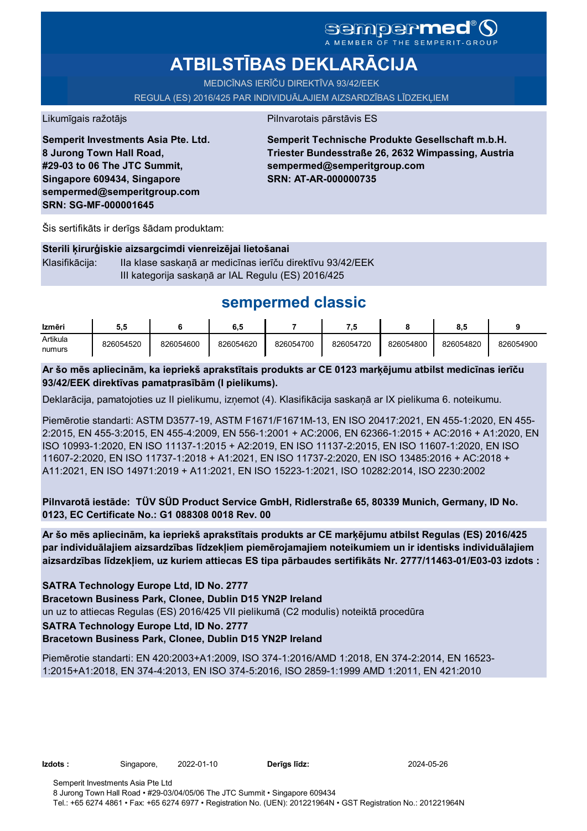# **ATBILSTĪBAS DEKLARĀCIJA**

MEDICĪNAS IERĪČU DIREKTĪVA 93/42/EEK

REGULA (ES) 2016/425 PAR INDIVIDUĀLAJIEM AIZSARDZĪBAS LĪDZEKĻIEM

Likumīgais ražotājs **Pilnvarotais pārstāvis ES** 

**Semperit Investments Asia Pte. Ltd. 8 Jurong Town Hall Road, #29-03 to 06 The JTC Summit, Singapore 609434, Singapore sempermed@semperitgroup.com SRN: SG-MF-000001645**

**Semperit Technische Produkte Gesellschaft m.b.H. Triester Bundesstraße 26, 2632 Wimpassing, Austria sempermed@semperitgroup.com SRN: AT-AR-000000735**

Šis sertifikāts ir derīgs šādam produktam:

#### **Sterili ķirurģiskie aizsargcimdi vienreizējai lietošanai**

Klasifikācija: IIa klase saskaņā ar medicīnas ierīču direktīvu 93/42/EEK III kategorija saskaņā ar IAL Regulu (ES) 2016/425

## **sempermed classic**

| Izmēri   | 5.5       |           | 6.5       |           | 7.5       |           |           |           |
|----------|-----------|-----------|-----------|-----------|-----------|-----------|-----------|-----------|
| Artikula | 826054520 | 826054600 | 826054620 | 826054700 | 826054720 | 826054800 | 826054820 | 826054900 |
| numurs   |           |           |           |           |           |           |           |           |

#### **Ar šo mēs apliecinām, ka iepriekš aprakstītais produkts ar CE 0123 marķējumu atbilst medicīnas ierīču 93/42/EEK direktīvas pamatprasībām (I pielikums).**

Deklarācija, pamatojoties uz II pielikumu, izņemot (4). Klasifikācija saskaņā ar IX pielikuma 6. noteikumu.

Piemērotie standarti: ASTM D3577-19, ASTM F1671/F1671M-13, EN ISO 20417:2021, EN 455-1:2020, EN 455- 2:2015, EN 455-3:2015, EN 455-4:2009, EN 556-1:2001 + AC:2006, EN 62366-1:2015 + AC:2016 + A1:2020, EN ISO 10993-1:2020, EN ISO 11137-1:2015 + A2:2019, EN ISO 11137-2:2015, EN ISO 11607-1:2020, EN ISO 11607-2:2020, EN ISO 11737-1:2018 + A1:2021, EN ISO 11737-2:2020, EN ISO 13485:2016 + AC:2018 + A11:2021, EN ISO 14971:2019 + A11:2021, EN ISO 15223-1:2021, ISO 10282:2014, ISO 2230:2002

**Pilnvarotā iestāde: TÜV SÜD Product Service GmbH, Ridlerstraße 65, 80339 Munich, Germany, ID No. 0123, EC Certificate No.: G1 088308 0018 Rev. 00** 

**Ar šo mēs apliecinām, ka iepriekš aprakstītais produkts ar CE marķējumu atbilst Regulas (ES) 2016/425 par individuālajiem aizsardzības līdzekļiem piemērojamajiem noteikumiem un ir identisks individuālajiem aizsardzības līdzekļiem, uz kuriem attiecas ES tipa pārbaudes sertifikāts Nr. 2777/11463-01/E03-03 izdots :**

**SATRA Technology Europe Ltd, ID No. 2777**

**Bracetown Business Park, Clonee, Dublin D15 YN2P Ireland**

un uz to attiecas Regulas (ES) 2016/425 VII pielikumā (C2 modulis) noteiktā procedūra

#### **SATRA Technology Europe Ltd, ID No. 2777**

#### **Bracetown Business Park, Clonee, Dublin D15 YN2P Ireland**

Piemērotie standarti: EN 420:2003+A1:2009, ISO 374-1:2016/AMD 1:2018, EN 374-2:2014, EN 16523- 1:2015+A1:2018, EN 374-4:2013, EN ISO 374-5:2016, ISO 2859-1:1999 AMD 1:2011, EN 421:2010

**Izdots :** Singapore, **Derīgs līdz:** 2022-01-10 2024-05-26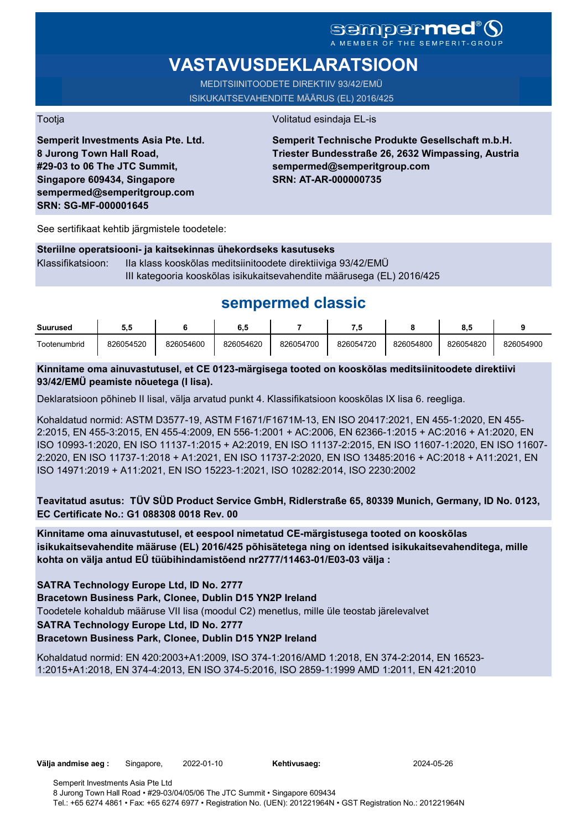# **VASTAVUSDEKLARATSIOON**

MEDITSIINITOODETE DIREKTIIV 93/42/EMÜ ISIKUKAITSEVAHENDITE MÄÄRUS (EL) 2016/425

Tootja Volitatud esindaja EL-is

**Semperit Investments Asia Pte. Ltd. 8 Jurong Town Hall Road, #29-03 to 06 The JTC Summit, Singapore 609434, Singapore sempermed@semperitgroup.com SRN: SG-MF-000001645**

**Semperit Technische Produkte Gesellschaft m.b.H. Triester Bundesstraße 26, 2632 Wimpassing, Austria sempermed@semperitgroup.com SRN: AT-AR-000000735**

See sertifikaat kehtib järgmistele toodetele:

#### **Steriilne operatsiooni- ja kaitsekinnas ühekordseks kasutuseks**

Klassifikatsioon: IIa klass kooskõlas meditsiinitoodete direktiiviga 93/42/EMÜ III kategooria kooskõlas isikukaitsevahendite määrusega (EL) 2016/425

# **sempermed classic**

| <b>Suurused</b> | ວ.ວ       |           | 6,5       |           | ٠.        |           | v.v       |           |
|-----------------|-----------|-----------|-----------|-----------|-----------|-----------|-----------|-----------|
| Tootenumbrid    | 826054520 | 826054600 | 826054620 | 826054700 | 826054720 | 826054800 | 826054820 | 826054900 |

### **Kinnitame oma ainuvastutusel, et CE 0123-märgisega tooted on kooskõlas meditsiinitoodete direktiivi 93/42/EMÜ peamiste nõuetega (I lisa).**

Deklaratsioon põhineb II lisal, välja arvatud punkt 4. Klassifikatsioon kooskõlas IX lisa 6. reegliga.

Kohaldatud normid: ASTM D3577-19, ASTM F1671/F1671M-13, EN ISO 20417:2021, EN 455-1:2020, EN 455- 2:2015, EN 455-3:2015, EN 455-4:2009, EN 556-1:2001 + AC:2006, EN 62366-1:2015 + AC:2016 + A1:2020, EN ISO 10993-1:2020, EN ISO 11137-1:2015 + A2:2019, EN ISO 11137-2:2015, EN ISO 11607-1:2020, EN ISO 11607- 2:2020, EN ISO 11737-1:2018 + A1:2021, EN ISO 11737-2:2020, EN ISO 13485:2016 + AC:2018 + A11:2021, EN ISO 14971:2019 + A11:2021, EN ISO 15223-1:2021, ISO 10282:2014, ISO 2230:2002

**Teavitatud asutus: TÜV SÜD Product Service GmbH, Ridlerstraße 65, 80339 Munich, Germany, ID No. 0123, EC Certificate No.: G1 088308 0018 Rev. 00** 

**Kinnitame oma ainuvastutusel, et eespool nimetatud CE-märgistusega tooted on kooskõlas isikukaitsevahendite määruse (EL) 2016/425 põhisätetega ning on identsed isikukaitsevahenditega, mille kohta on välja antud EÜ tüübihindamistõend nr2777/11463-01/E03-03 välja :**

**SATRA Technology Europe Ltd, ID No. 2777**

**Bracetown Business Park, Clonee, Dublin D15 YN2P Ireland**

Toodetele kohaldub määruse VII lisa (moodul C2) menetlus, mille üle teostab järelevalvet

**SATRA Technology Europe Ltd, ID No. 2777**

### **Bracetown Business Park, Clonee, Dublin D15 YN2P Ireland**

Kohaldatud normid: EN 420:2003+A1:2009, ISO 374-1:2016/AMD 1:2018, EN 374-2:2014, EN 16523- 1:2015+A1:2018, EN 374-4:2013, EN ISO 374-5:2016, ISO 2859-1:1999 AMD 1:2011, EN 421:2010

Kehtivusaeg: 2024-05-26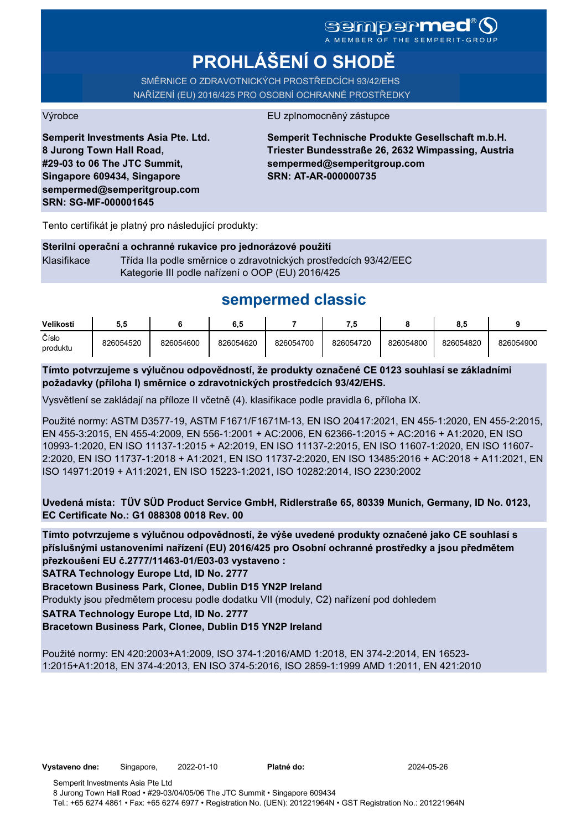# **PROHLÁŠENÍ O SHODĚ**

SMĚRNICE O ZDRAVOTNICKÝCH PROSTŘEDCÍCH 93/42/EHS NAŘÍZENÍ (EU) 2016/425 PRO OSOBNÍ OCHRANNÉ PROSTŘEDKY

#### Výrobce EU zplnomocněný zástupce

**Semperit Investments Asia Pte. Ltd. 8 Jurong Town Hall Road, #29-03 to 06 The JTC Summit, Singapore 609434, Singapore sempermed@semperitgroup.com SRN: SG-MF-000001645**

**Semperit Technische Produkte Gesellschaft m.b.H. Triester Bundesstraße 26, 2632 Wimpassing, Austria sempermed@semperitgroup.com SRN: AT-AR-000000735**

Tento certifikát je platný pro následující produkty:

#### **Sterilní operační a ochranné rukavice pro jednorázové použití**

Klasifikace Třída IIa podle směrnice o zdravotnických prostředcích 93/42/EEC Kategorie III podle nařízení o OOP (EU) 2016/425

## **sempermed classic**

| Velikosti         | IJ.       |           | b.5       |           |           |           | 0<br>o.a  |           |
|-------------------|-----------|-----------|-----------|-----------|-----------|-----------|-----------|-----------|
| Číslo<br>produktu | 826054520 | 826054600 | 826054620 | 826054700 | 826054720 | 826054800 | 826054820 | 826054900 |

**Tímto potvrzujeme s výlučnou odpovědností, že produkty označené CE 0123 souhlasí se základními požadavky (příloha I) směrnice o zdravotnických prostředcích 93/42/EHS.**

Vysvětlení se zakládají na příloze II včetně (4). klasifikace podle pravidla 6, příloha IX.

Použité normy: ASTM D3577-19, ASTM F1671/F1671M-13, EN ISO 20417:2021, EN 455-1:2020, EN 455-2:2015, EN 455-3:2015, EN 455-4:2009, EN 556-1:2001 + AC:2006, EN 62366-1:2015 + AC:2016 + A1:2020, EN ISO 10993-1:2020, EN ISO 11137-1:2015 + A2:2019, EN ISO 11137-2:2015, EN ISO 11607-1:2020, EN ISO 11607- 2:2020, EN ISO 11737-1:2018 + A1:2021, EN ISO 11737-2:2020, EN ISO 13485:2016 + AC:2018 + A11:2021, EN ISO 14971:2019 + A11:2021, EN ISO 15223-1:2021, ISO 10282:2014, ISO 2230:2002

**Uvedená místa: TÜV SÜD Product Service GmbH, Ridlerstraße 65, 80339 Munich, Germany, ID No. 0123, EC Certificate No.: G1 088308 0018 Rev. 00** 

**Tímto potvrzujeme s výlučnou odpovědností, že výše uvedené produkty označené jako CE souhlasí s příslušnými ustanoveními nařízení (EU) 2016/425 pro Osobní ochranné prostředky a jsou předmětem přezkoušení EU č.2777/11463-01/E03-03 vystaveno :**

**SATRA Technology Europe Ltd, ID No. 2777**

**Bracetown Business Park, Clonee, Dublin D15 YN2P Ireland**

Produkty jsou předmětem procesu podle dodatku VII (moduly, C2) nařízení pod dohledem

**SATRA Technology Europe Ltd, ID No. 2777**

**Bracetown Business Park, Clonee, Dublin D15 YN2P Ireland**

Použité normy: EN 420:2003+A1:2009, ISO 374-1:2016/AMD 1:2018, EN 374-2:2014, EN 16523- 1:2015+A1:2018, EN 374-4:2013, EN ISO 374-5:2016, ISO 2859-1:1999 AMD 1:2011, EN 421:2010

2024-05-26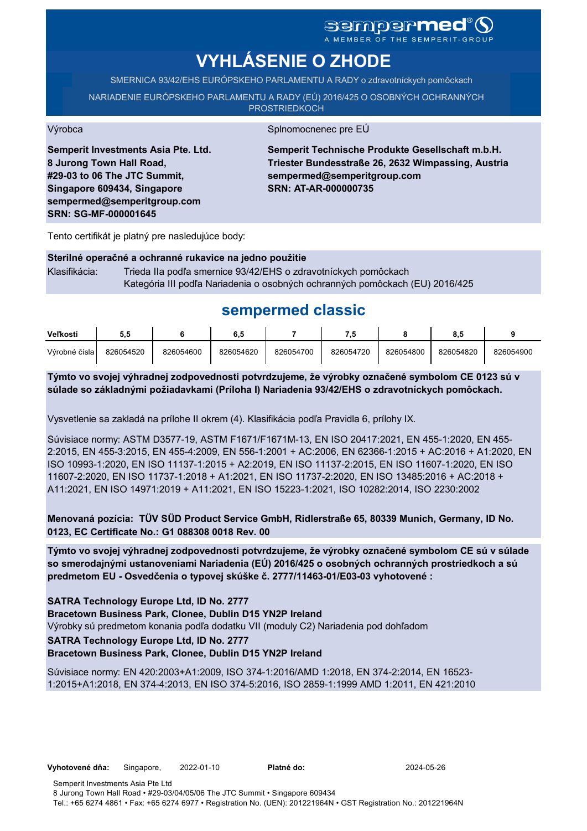# sempermed<sup>®</sup>Q

A MEMBER OF THE SEMPERIT-GROUP

# **VYHLÁSENIE O ZHODE**

SMERNICA 93/42/EHS EURÓPSKEHO PARLAMENTU A RADY o zdravotníckych pomôckach

NARIADENIE EURÓPSKEHO PARLAMENTU A RADY (EÚ) 2016/425 O OSOBNÝCH OCHRANNÝCH **PROSTRIEDKOCH** 

Výrobca Splnomocnenec pre EÚ

**Semperit Investments Asia Pte. Ltd. 8 Jurong Town Hall Road, #29-03 to 06 The JTC Summit, Singapore 609434, Singapore sempermed@semperitgroup.com SRN: SG-MF-000001645**

**Semperit Technische Produkte Gesellschaft m.b.H. Triester Bundesstraße 26, 2632 Wimpassing, Austria sempermed@semperitgroup.com SRN: AT-AR-000000735**

Tento certifikát je platný pre nasledujúce body:

#### **Sterilné operačné a ochranné rukavice na jedno použitie**

Klasifikácia: Trieda IIa podľa smernice 93/42/EHS o zdravotníckych pomôckach Kategória III podľa Nariadenia o osobných ochranných pomôckach (EU) 2016/425

## **sempermed classic**

| Veľkosti      | ວ.ວ       |           | 6.5       |           | - 9       |           | o.:       |           |
|---------------|-----------|-----------|-----------|-----------|-----------|-----------|-----------|-----------|
| Výrobné čísla | 826054520 | 826054600 | 826054620 | 826054700 | 826054720 | 826054800 | 826054820 | 826054900 |

**Týmto vo svojej výhradnej zodpovednosti potvrdzujeme, že výrobky označené symbolom CE 0123 sú v súlade so základnými požiadavkami (Príloha I) Nariadenia 93/42/EHS o zdravotníckych pomôckach.**

Vysvetlenie sa zakladá na prílohe II okrem (4). Klasifikácia podľa Pravidla 6, prílohy IX.

Súvisiace normy: ASTM D3577-19, ASTM F1671/F1671M-13, EN ISO 20417:2021, EN 455-1:2020, EN 455- 2:2015, EN 455-3:2015, EN 455-4:2009, EN 556-1:2001 + AC:2006, EN 62366-1:2015 + AC:2016 + A1:2020, EN ISO 10993-1:2020, EN ISO 11137-1:2015 + A2:2019, EN ISO 11137-2:2015, EN ISO 11607-1:2020, EN ISO 11607-2:2020, EN ISO 11737-1:2018 + A1:2021, EN ISO 11737-2:2020, EN ISO 13485:2016 + AC:2018 + A11:2021, EN ISO 14971:2019 + A11:2021, EN ISO 15223-1:2021, ISO 10282:2014, ISO 2230:2002

**Menovaná pozícia: TÜV SÜD Product Service GmbH, Ridlerstraße 65, 80339 Munich, Germany, ID No. 0123, EC Certificate No.: G1 088308 0018 Rev. 00** 

**Týmto vo svojej výhradnej zodpovednosti potvrdzujeme, že výrobky označené symbolom CE sú v súlade so smerodajnými ustanoveniami Nariadenia (EÚ) 2016/425 o osobných ochranných prostriedkoch a sú predmetom EU - Osvedčenia o typovej skúške č. 2777/11463-01/E03-03 vyhotovené :**

**SATRA Technology Europe Ltd, ID No. 2777**

**Bracetown Business Park, Clonee, Dublin D15 YN2P Ireland**

Výrobky sú predmetom konania podľa dodatku VII (moduly C2) Nariadenia pod dohľadom

**SATRA Technology Europe Ltd, ID No. 2777**

#### **Bracetown Business Park, Clonee, Dublin D15 YN2P Ireland**

Súvisiace normy: EN 420:2003+A1:2009, ISO 374-1:2016/AMD 1:2018, EN 374-2:2014, EN 16523- 1:2015+A1:2018, EN 374-4:2013, EN ISO 374-5:2016, ISO 2859-1:1999 AMD 1:2011, EN 421:2010

2024-05-26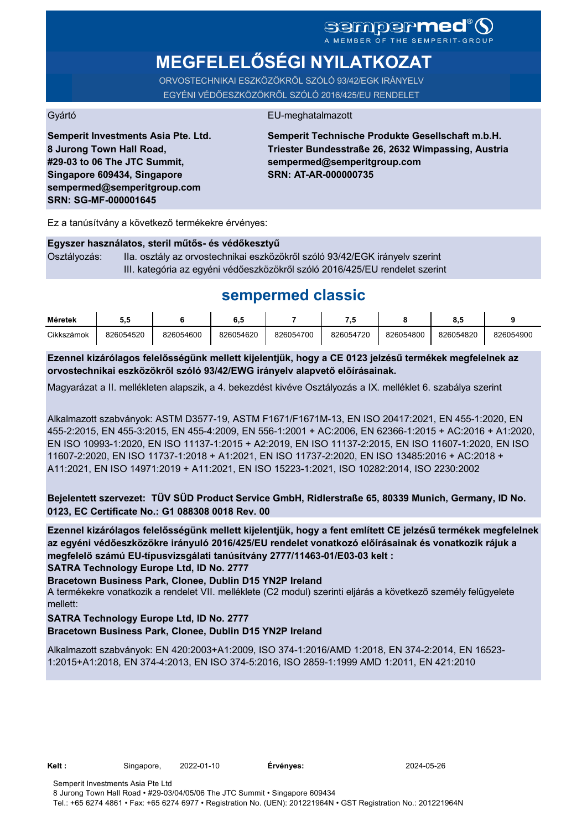# **MEGFELELŐSÉGI NYILATKOZAT**

ORVOSTECHNIKAI ESZKÖZÖKRŐL SZÓLÓ 93/42/EGK IRÁNYELV EGYÉNI VÉDŐESZKÖZÖKRŐL SZÓLÓ 2016/425/EU RENDELET

#### Gyártó EU-meghatalmazott

**Semperit Investments Asia Pte. Ltd. 8 Jurong Town Hall Road, #29-03 to 06 The JTC Summit, Singapore 609434, Singapore sempermed@semperitgroup.com SRN: SG-MF-000001645**

**Semperit Technische Produkte Gesellschaft m.b.H. Triester Bundesstraße 26, 2632 Wimpassing, Austria sempermed@semperitgroup.com SRN: AT-AR-000000735**

Ez a tanúsítvány a következő termékekre érvényes:

#### **Egyszer használatos, steril műtős- és védőkesztyű**

Osztályozás: IIa. osztály az orvostechnikai eszközökről szóló 93/42/EGK irányelv szerint III. kategória az egyéni védőeszközökről szóló 2016/425/EU rendelet szerint

## **sempermed classic**

| Méretek    | ນ.ະ       |           | . .       |           | .,        |           |           |           |
|------------|-----------|-----------|-----------|-----------|-----------|-----------|-----------|-----------|
| Cikkszámok | 826054520 | 826054600 | 826054620 | 826054700 | 826054720 | 826054800 | 826054820 | 826054900 |

**Ezennel kizárólagos felelősségünk mellett kijelentjük, hogy a CE 0123 jelzésű termékek megfelelnek az orvostechnikai eszközökről szóló 93/42/EWG irányelv alapvető előírásainak.**

Magyarázat a II. mellékleten alapszik, a 4. bekezdést kivéve Osztályozás a IX. melléklet 6. szabálya szerint

Alkalmazott szabványok: ASTM D3577-19, ASTM F1671/F1671M-13, EN ISO 20417:2021, EN 455-1:2020, EN 455-2:2015, EN 455-3:2015, EN 455-4:2009, EN 556-1:2001 + AC:2006, EN 62366-1:2015 + AC:2016 + A1:2020, EN ISO 10993-1:2020, EN ISO 11137-1:2015 + A2:2019, EN ISO 11137-2:2015, EN ISO 11607-1:2020, EN ISO 11607-2:2020, EN ISO 11737-1:2018 + A1:2021, EN ISO 11737-2:2020, EN ISO 13485:2016 + AC:2018 + A11:2021, EN ISO 14971:2019 + A11:2021, EN ISO 15223-1:2021, ISO 10282:2014, ISO 2230:2002

**Bejelentett szervezet: TÜV SÜD Product Service GmbH, Ridlerstraße 65, 80339 Munich, Germany, ID No. 0123, EC Certificate No.: G1 088308 0018 Rev. 00** 

**SATRA Technology Europe Ltd, ID No. 2777 Ezennel kizárólagos felelősségünk mellett kijelentjük, hogy a fent említett CE jelzésű termékek megfelelnek az egyéni védőeszközökre irányuló 2016/425/EU rendelet vonatkozó előírásainak és vonatkozik rájuk a megfelelő számú EU-típusvizsgálati tanúsítvány 2777/11463-01/E03-03 kelt :**

**Bracetown Business Park, Clonee, Dublin D15 YN2P Ireland**

A termékekre vonatkozik a rendelet VII. melléklete (C2 modul) szerinti eljárás a következő személy felügyelete mellett:

#### **SATRA Technology Europe Ltd, ID No. 2777**

#### **Bracetown Business Park, Clonee, Dublin D15 YN2P Ireland**

Alkalmazott szabványok: EN 420:2003+A1:2009, ISO 374-1:2016/AMD 1:2018, EN 374-2:2014, EN 16523- 1:2015+A1:2018, EN 374-4:2013, EN ISO 374-5:2016, ISO 2859-1:1999 AMD 1:2011, EN 421:2010

**Ervényes:** 2024-05-26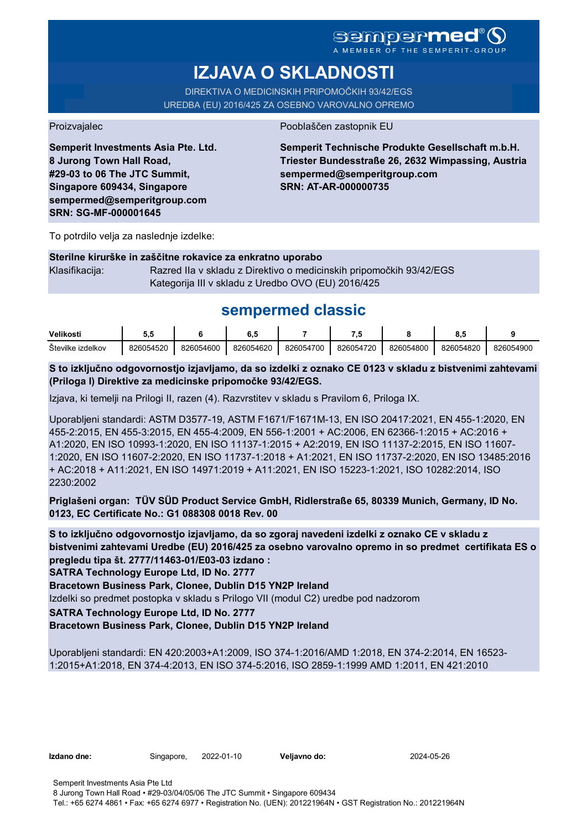A MEMBER OF THE SEMPERIT-GROUP

# **IZJAVA O SKLADNOSTI**

DIREKTIVA O MEDICINSKIH PRIPOMOČKIH 93/42/EGS UREDBA (EU) 2016/425 ZA OSEBNO VAROVALNO OPREMO

Proizvajalec Pooblaščen zastopnik EU

**Semperit Investments Asia Pte. Ltd. 8 Jurong Town Hall Road, #29-03 to 06 The JTC Summit, Singapore 609434, Singapore sempermed@semperitgroup.com SRN: SG-MF-000001645**

**Semperit Technische Produkte Gesellschaft m.b.H. Triester Bundesstraße 26, 2632 Wimpassing, Austria sempermed@semperitgroup.com SRN: AT-AR-000000735**

To potrdilo velja za naslednje izdelke:

#### **Sterilne kirurške in zaščitne rokavice za enkratno uporabo**

Klasifikacija: Razred IIa v skladu z Direktivo o medicinskih pripomočkih 93/42/EGS Kategorija III v skladu z Uredbo OVO (EU) 2016/425

## **sempermed classic**

| Velikosti         |           |           | υ.,       |           |           |           |           |           |
|-------------------|-----------|-----------|-----------|-----------|-----------|-----------|-----------|-----------|
| Stevilke izdelkov | 826054520 | 826054600 | 826054620 | 826054700 | 826054720 | 826054800 | 826054820 | 826054900 |

**S to izključno odgovornostjo izjavljamo, da so izdelki z oznako CE 0123 v skladu z bistvenimi zahtevami (Priloga I) Direktive za medicinske pripomočke 93/42/EGS.**

Izjava, ki temelji na Prilogi II, razen (4). Razvrstitev v skladu s Pravilom 6, Priloga IX.

Uporabljeni standardi: ASTM D3577-19, ASTM F1671/F1671M-13, EN ISO 20417:2021, EN 455-1:2020, EN 455-2:2015, EN 455-3:2015, EN 455-4:2009, EN 556-1:2001 + AC:2006, EN 62366-1:2015 + AC:2016 + A1:2020, EN ISO 10993-1:2020, EN ISO 11137-1:2015 + A2:2019, EN ISO 11137-2:2015, EN ISO 11607- 1:2020, EN ISO 11607-2:2020, EN ISO 11737-1:2018 + A1:2021, EN ISO 11737-2:2020, EN ISO 13485:2016 + AC:2018 + A11:2021, EN ISO 14971:2019 + A11:2021, EN ISO 15223-1:2021, ISO 10282:2014, ISO 2230:2002

**Priglašeni organ: TÜV SÜD Product Service GmbH, Ridlerstraße 65, 80339 Munich, Germany, ID No. 0123, EC Certificate No.: G1 088308 0018 Rev. 00** 

**S to izključno odgovornostjo izjavljamo, da so zgoraj navedeni izdelki z oznako CE v skladu z bistvenimi zahtevami Uredbe (EU) 2016/425 za osebno varovalno opremo in so predmet certifikata ES o pregledu tipa št. 2777/11463-01/E03-03 izdano :**

**SATRA Technology Europe Ltd, ID No. 2777**

**Bracetown Business Park, Clonee, Dublin D15 YN2P Ireland**

Izdelki so predmet postopka v skladu s Prilogo VII (modul C2) uredbe pod nadzorom

### **SATRA Technology Europe Ltd, ID No. 2777**

#### **Bracetown Business Park, Clonee, Dublin D15 YN2P Ireland**

Uporabljeni standardi: EN 420:2003+A1:2009, ISO 374-1:2016/AMD 1:2018, EN 374-2:2014, EN 16523- 1:2015+A1:2018, EN 374-4:2013, EN ISO 374-5:2016, ISO 2859-1:1999 AMD 1:2011, EN 421:2010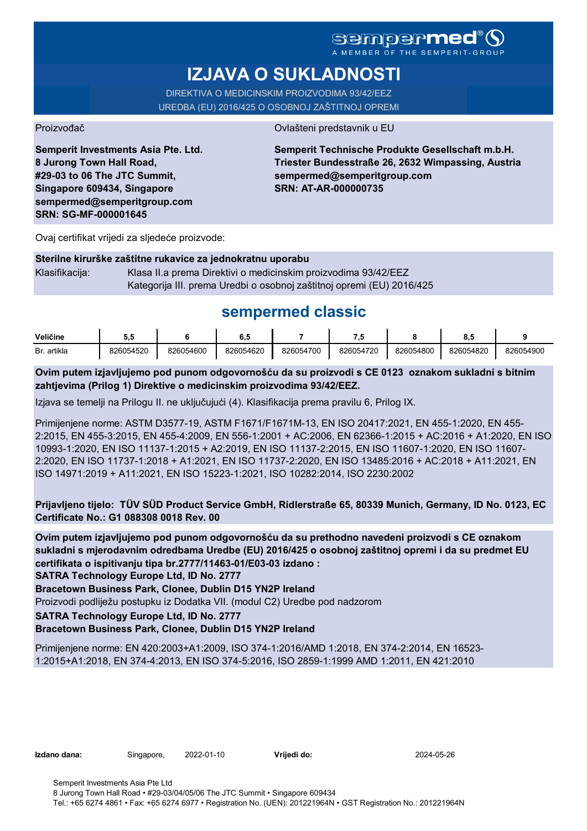## **sempermed**

A MEMBER OF THE

# **IZJAVA O SUKLADNOSTI**

DIREKTIVA O MEDICINSKIM PROIZVODIMA 93/42/EEZ UREDBA (EU) 2016/425 O OSOBNOJ ZAŠTITNOJ OPREMI

Proizvođač **Ovlašteni predstavnik u EU** 

**Semperit Investments Asia Pte. Ltd. 8 Jurong Town Hall Road, #29-03 to 06 The JTC Summit, Singapore 609434, Singapore sempermed@semperitgroup.com SRN: SG-MF-000001645**

**Semperit Technische Produkte Gesellschaft m.b.H. Triester Bundesstraße 26, 2632 Wimpassing, Austria sempermed@semperitgroup.com SRN: AT-AR-000000735**

Ovaj certifikat vrijedi za sljedeće proizvode:

#### **Sterilne kirurške zaštitne rukavice za jednokratnu uporabu**

Klasifikacija: Klasa II.a prema Direktivi o medicinskim proizvodima 93/42/EEZ Kategorija III. prema Uredbi o osobnoj zaštitnoj opremi (EU) 2016/425

## **sempermed classic**

| Veličine    | v.        |           | υ.,       |           | .         |           |           |           |
|-------------|-----------|-----------|-----------|-----------|-----------|-----------|-----------|-----------|
| Br. artikla | 826054520 | 826054600 | 826054620 | 826054700 | 826054720 | 826054800 | 826054820 | 826054900 |

**Ovim putem izjavljujemo pod punom odgovornošću da su proizvodi s CE 0123 oznakom sukladni s bitnim zahtjevima (Prilog 1) Direktive o medicinskim proizvodima 93/42/EEZ.**

Izjava se temelji na Prilogu II. ne uključujući (4). Klasifikacija prema pravilu 6, Prilog IX.

Primijenjene norme: ASTM D3577-19, ASTM F1671/F1671M-13, EN ISO 20417:2021, EN 455-1:2020, EN 455- 2:2015, EN 455-3:2015, EN 455-4:2009, EN 556-1:2001 + AC:2006, EN 62366-1:2015 + AC:2016 + A1:2020, EN ISO 10993-1:2020, EN ISO 11137-1:2015 + A2:2019, EN ISO 11137-2:2015, EN ISO 11607-1:2020, EN ISO 11607- 2:2020, EN ISO 11737-1:2018 + A1:2021, EN ISO 11737-2:2020, EN ISO 13485:2016 + AC:2018 + A11:2021, EN ISO 14971:2019 + A11:2021, EN ISO 15223-1:2021, ISO 10282:2014, ISO 2230:2002

**Prijavljeno tijelo: TÜV SÜD Product Service GmbH, Ridlerstraße 65, 80339 Munich, Germany, ID No. 0123, EC Certificate No.: G1 088308 0018 Rev. 00** 

**Ovim putem izjavljujemo pod punom odgovornošću da su prethodno navedeni proizvodi s CE oznakom sukladni s mjerodavnim odredbama Uredbe (EU) 2016/425 o osobnoj zaštitnoj opremi i da su predmet EU certifikata o ispitivanju tipa br.2777/11463-01/E03-03 izdano :**

**SATRA Technology Europe Ltd, ID No. 2777**

**Bracetown Business Park, Clonee, Dublin D15 YN2P Ireland**

Proizvodi podliježu postupku iz Dodatka VII. (modul C2) Uredbe pod nadzorom

**SATRA Technology Europe Ltd, ID No. 2777**

### **Bracetown Business Park, Clonee, Dublin D15 YN2P Ireland**

Primijenjene norme: EN 420:2003+A1:2009, ISO 374-1:2016/AMD 1:2018, EN 374-2:2014, EN 16523- 1:2015+A1:2018, EN 374-4:2013, EN ISO 374-5:2016, ISO 2859-1:1999 AMD 1:2011, EN 421:2010

**Izdano dana:** Singapore, 2022-01-10 **Vrijedi do:** 2024-05-26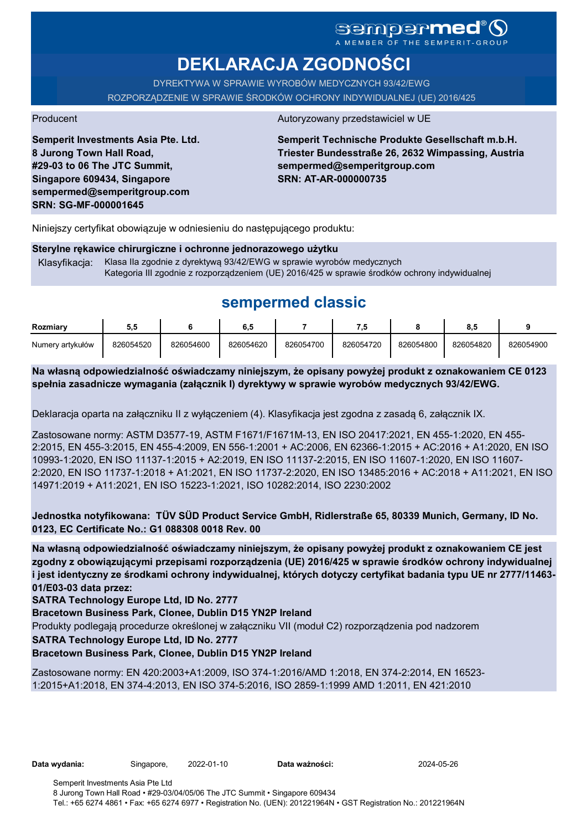# sempermed

**DEKLARACJA ZGODNOŚCI**

DYREKTYWA W SPRAWIE WYROBÓW MEDYCZNYCH 93/42/EWG ROZPORZĄDZENIE W SPRAWIE ŚRODKÓW OCHRONY INDYWIDUALNEJ (UE) 2016/425

**Semperit Investments Asia Pte. Ltd. 8 Jurong Town Hall Road, #29-03 to 06 The JTC Summit, Singapore 609434, Singapore sempermed@semperitgroup.com SRN: SG-MF-000001645**

#### Producent Autoryzowany przedstawiciel w UE

**Semperit Technische Produkte Gesellschaft m.b.H. Triester Bundesstraße 26, 2632 Wimpassing, Austria sempermed@semperitgroup.com SRN: AT-AR-000000735**

Niniejszy certyfikat obowiązuje w odniesieniu do następującego produktu:

#### **Sterylne rękawice chirurgiczne i ochronne jednorazowego użytku**

Klasyfikacja: Klasa IIa zgodnie z dyrektywą 93/42/EWG w sprawie wyrobów medycznych Kategoria III zgodnie z rozporządzeniem (UE) 2016/425 w sprawie środków ochrony indywidualnej

## **sempermed classic**

| Rozmiarv         | IJ.       |           | o.a       |           | - 7       |           | o.c       |           |
|------------------|-----------|-----------|-----------|-----------|-----------|-----------|-----------|-----------|
| Numery artykułów | 826054520 | 826054600 | 826054620 | 826054700 | 826054720 | 826054800 | 826054820 | 826054900 |

**Na własną odpowiedzialność oświadczamy niniejszym, że opisany powyżej produkt z oznakowaniem CE 0123 spełnia zasadnicze wymagania (załącznik I) dyrektywy w sprawie wyrobów medycznych 93/42/EWG.**

Deklaracja oparta na załączniku II z wyłączeniem (4). Klasyfikacja jest zgodna z zasadą 6, załącznik IX.

Zastosowane normy: ASTM D3577-19, ASTM F1671/F1671M-13, EN ISO 20417:2021, EN 455-1:2020, EN 455- 2:2015, EN 455-3:2015, EN 455-4:2009, EN 556-1:2001 + AC:2006, EN 62366-1:2015 + AC:2016 + A1:2020, EN ISO 10993-1:2020, EN ISO 11137-1:2015 + A2:2019, EN ISO 11137-2:2015, EN ISO 11607-1:2020, EN ISO 11607- 2:2020, EN ISO 11737-1:2018 + A1:2021, EN ISO 11737-2:2020, EN ISO 13485:2016 + AC:2018 + A11:2021, EN ISO 14971:2019 + A11:2021, EN ISO 15223-1:2021, ISO 10282:2014, ISO 2230:2002

#### **Jednostka notyfikowana: TÜV SÜD Product Service GmbH, Ridlerstraße 65, 80339 Munich, Germany, ID No. 0123, EC Certificate No.: G1 088308 0018 Rev. 00**

**Na własną odpowiedzialność oświadczamy niniejszym, że opisany powyżej produkt z oznakowaniem CE jest zgodny z obowiązującymi przepisami rozporządzenia (UE) 2016/425 w sprawie środków ochrony indywidualnej i jest identyczny ze środkami ochrony indywidualnej, których dotyczy certyfikat badania typu UE nr 2777/11463- 01/E03-03 data przez:**

**SATRA Technology Europe Ltd, ID No. 2777**

**Bracetown Business Park, Clonee, Dublin D15 YN2P Ireland**

Produkty podlegają procedurze określonej w załączniku VII (moduł C2) rozporządzenia pod nadzorem

**SATRA Technology Europe Ltd, ID No. 2777**

#### **Bracetown Business Park, Clonee, Dublin D15 YN2P Ireland**

Zastosowane normy: EN 420:2003+A1:2009, ISO 374-1:2016/AMD 1:2018, EN 374-2:2014, EN 16523- 1:2015+A1:2018, EN 374-4:2013, EN ISO 374-5:2016, ISO 2859-1:1999 AMD 1:2011, EN 421:2010

**Data ważności:** 2024-05-26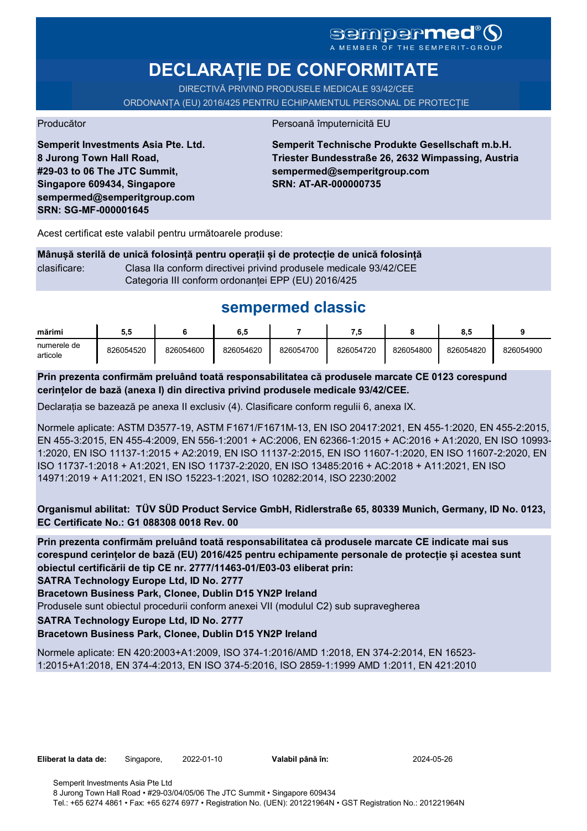# SGMDGPMEd<sup>®</sup>O

**DECLARAȚIE DE CONFORMITATE**

DIRECTIVĂ PRIVIND PRODUSELE MEDICALE 93/42/CEE

ORDONANȚA (EU) 2016/425 PENTRU ECHIPAMENTUL PERSONAL DE PROTECȚIE

Producător **Producător** Persoană împuternicită EU

**Semperit Investments Asia Pte. Ltd. 8 Jurong Town Hall Road, #29-03 to 06 The JTC Summit, Singapore 609434, Singapore sempermed@semperitgroup.com SRN: SG-MF-000001645**

**Semperit Technische Produkte Gesellschaft m.b.H. Triester Bundesstraße 26, 2632 Wimpassing, Austria sempermed@semperitgroup.com SRN: AT-AR-000000735**

Acest certificat este valabil pentru următoarele produse:

**Mânușă sterilă de unică folosință pentru operații și de protecție de unică folosință** clasificare: Clasa IIa conform directivei privind produsele medicale 93/42/CEE Categoria III conform ordonanței EPP (EU) 2016/425

# **sempermed classic**

| mărimi                  | 5.5       |           | 6.5       |           |           |           | $\bullet$<br>0.J |           |
|-------------------------|-----------|-----------|-----------|-----------|-----------|-----------|------------------|-----------|
| numerele de<br>articole | 826054520 | 826054600 | 826054620 | 826054700 | 826054720 | 826054800 | 826054820        | 826054900 |

**Prin prezenta confirmăm preluând toată responsabilitatea că produsele marcate CE 0123 corespund cerințelor de bază (anexa I) din directiva privind produsele medicale 93/42/CEE.**

Declarația se bazează pe anexa II exclusiv (4). Clasificare conform regulii 6, anexa IX.

Normele aplicate: ASTM D3577-19, ASTM F1671/F1671M-13, EN ISO 20417:2021, EN 455-1:2020, EN 455-2:2015, EN 455-3:2015, EN 455-4:2009, EN 556-1:2001 + AC:2006, EN 62366-1:2015 + AC:2016 + A1:2020, EN ISO 10993- 1:2020, EN ISO 11137-1:2015 + A2:2019, EN ISO 11137-2:2015, EN ISO 11607-1:2020, EN ISO 11607-2:2020, EN ISO 11737-1:2018 + A1:2021, EN ISO 11737-2:2020, EN ISO 13485:2016 + AC:2018 + A11:2021, EN ISO 14971:2019 + A11:2021, EN ISO 15223-1:2021, ISO 10282:2014, ISO 2230:2002

**Organismul abilitat: TÜV SÜD Product Service GmbH, Ridlerstraße 65, 80339 Munich, Germany, ID No. 0123, EC Certificate No.: G1 088308 0018 Rev. 00** 

**Prin prezenta confirmăm preluând toată responsabilitatea că produsele marcate CE indicate mai sus corespund cerințelor de bază (EU) 2016/425 pentru echipamente personale de protecție și acestea sunt obiectul certificării de tip CE nr. 2777/11463-01/E03-03 eliberat prin:**

**SATRA Technology Europe Ltd, ID No. 2777**

**Bracetown Business Park, Clonee, Dublin D15 YN2P Ireland**

Produsele sunt obiectul procedurii conform anexei VII (modulul C2) sub supravegherea

**SATRA Technology Europe Ltd, ID No. 2777**

#### **Bracetown Business Park, Clonee, Dublin D15 YN2P Ireland**

Normele aplicate: EN 420:2003+A1:2009, ISO 374-1:2016/AMD 1:2018, EN 374-2:2014, EN 16523- 1:2015+A1:2018, EN 374-4:2013, EN ISO 374-5:2016, ISO 2859-1:1999 AMD 1:2011, EN 421:2010

Valabil până în: 2024-05-26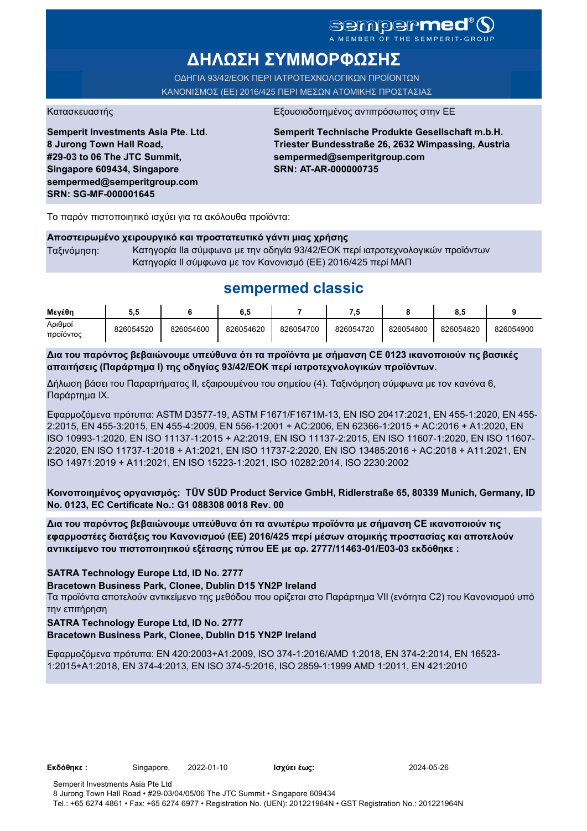### sempermed<sup>®</sup> Q A MEMBER OF THE SEMPERIT-GROUI

**ΔΗΛΩΣΗ ΣΥΜΜΟΡΦΩΣΗΣ**

ΟΔΗΓΙΑ 93/42/ΕΟΚ ΠΕΡΙ ΙΑΤΡΟΤΕΧΝΟΛΟΓΙΚΩΝ ΠΡΟΪΟΝΤΩΝ ΚΑΝΟΝΙΣΜΟΣ (ΕΕ) 2016/425 ΠΕΡΙ ΜΕΣΩΝ ΑΤΟΜΙΚΗΣ ΠΡΟΣΤΑΣΙΑΣ

Κατασκευαστής <u>Εξουσιοδοτημένος αντιπρόσωπος στην Ε</u>

**Semperit Investments Asia Pte. Ltd. 8 Jurong Town Hall Road, #29-03 to 06 The JTC Summit, Singapore 609434, Singapore sempermed@semperitgroup.com SRN: SG-MF-000001645**

**Semperit Technische Produkte Gesellschaft m.b.H. Triester Bundesstraße 26, 2632 Wimpassing, Austria sempermed@semperitgroup.com SRN: AT-AR-000000735**

Το παρόν πιστοποιητικό ισχύει για τα ακόλουθα προϊόντα:

#### **Αποστειρωμένο χειρουργικό και προστατευτικό γάντι μιας χρήσης**

Ταξινόμηση: Κατηγορία IIa σύμφωνα με την οδηγία 93/42/ΕΟΚ περί ιατροτεχνολογικών προϊόντων Κατηγορία II σύμφωνα με τον Κανονισμό (ΕΕ) 2016/425 περί ΜΑΠ

## **sempermed classic**

| Μενέθη               | J.J       |           | 6,5       |           | - 7       |           | 8.t       |           |
|----------------------|-----------|-----------|-----------|-----------|-----------|-----------|-----------|-----------|
| Αριθμοί<br>προϊόντος | 826054520 | 826054600 | 826054620 | 826054700 | 826054720 | 826054800 | 826054820 | 826054900 |

**Δια του παρόντος βεβαιώνουμε υπεύθυνα ότι τα προϊόντα με σήμανση CE 0123 ικανοποιούν τις βασικές απαιτήσεις (Παράρτημα I) της οδηγίας 93/42/ΕΟΚ περί ιατροτεχνολογικών προϊόντων.**

Δήλωση βάσει του Παραρτήματος II, εξαιρουμένου του σημείου (4). Ταξινόμηση σύμφωνα με τον κανόνα 6, Παράρτημα IX.

Εφαρμοζόμενα πρότυπα: ASTM D3577-19, ASTM F1671/F1671M-13, EN ISO 20417:2021, EN 455-1:2020, EN 455- 2:2015, EN 455-3:2015, EN 455-4:2009, EN 556-1:2001 + AC:2006, EN 62366-1:2015 + AC:2016 + A1:2020, EN ISO 10993-1:2020, EN ISO 11137-1:2015 + A2:2019, EN ISO 11137-2:2015, EN ISO 11607-1:2020, EN ISO 11607- 2:2020, EN ISO 11737-1:2018 + A1:2021, EN ISO 11737-2:2020, EN ISO 13485:2016 + AC:2018 + A11:2021, EN ISO 14971:2019 + A11:2021, EN ISO 15223-1:2021, ISO 10282:2014, ISO 2230:2002

**Κοινοποιημένος οργανισμός: TÜV SÜD Product Service GmbH, Ridlerstraße 65, 80339 Munich, Germany, ID No. 0123, EC Certificate No.: G1 088308 0018 Rev. 00** 

**Δια του παρόντος βεβαιώνουμε υπεύθυνα ότι τα ανωτέρω προϊόντα με σήμανση CE ικανοποιούν τις εφαρμοστέες διατάξεις του Κανονισμού (ΕΕ) 2016/425 περί μέσων ατομικής προστασίας και αποτελούν αντικείμενο του πιστοποιητικού εξέτασης τύπου ΕΕ με αρ. 2777/11463-01/E03-03 εκδόθηκε :**

#### **SATRA Technology Europe Ltd, ID No. 2777**

**Bracetown Business Park, Clonee, Dublin D15 YN2P Ireland**

Τα προϊόντα αποτελούν αντικείμενο της μεθόδου που ορίζεται στο Παράρτημα VII (ενότητα C2) του Κανονισμού υπό την επιτήρηση

### **SATRA Technology Europe Ltd, ID No. 2777**

#### **Bracetown Business Park, Clonee, Dublin D15 YN2P Ireland**

Εφαρμοζόμενα πρότυπα: EN 420:2003+A1:2009, ISO 374-1:2016/AMD 1:2018, EN 374-2:2014, EN 16523- 1:2015+A1:2018, EN 374-4:2013, EN ISO 374-5:2016, ISO 2859-1:1999 AMD 1:2011, EN 421:2010

**Εκδόθηκε :** Singapore, **Ισχύει έως:** 2022-01-10 2024-05-26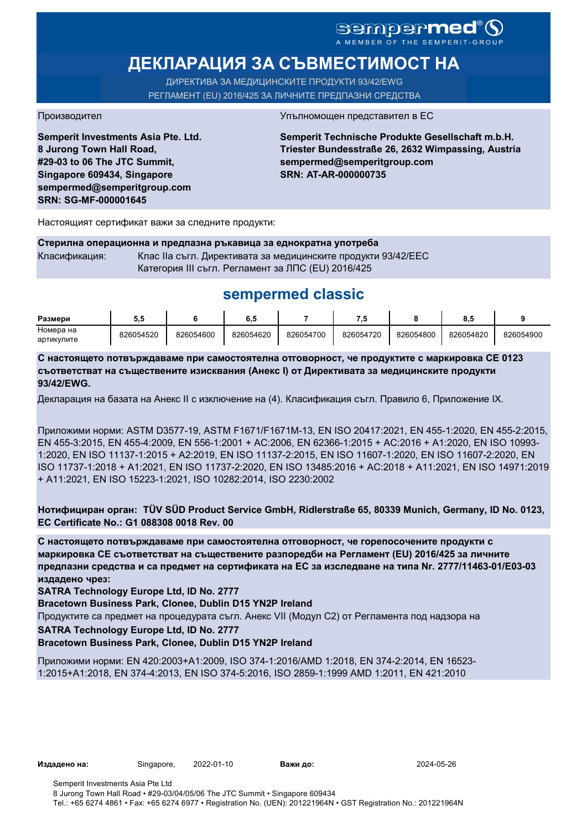# sempermed®

# **ДЕКЛАРАЦИЯ ЗА СЪВМЕСТИМОСТ НА**

ДИРЕКТИВА ЗА МЕДИЦИНСКИТЕ ПРОДУКТИ 93/42/EWG РЕГЛАМЕНТ (EU) 2016/425 ЗА ЛИЧНИТЕ ПРЕДПАЗНИ СРЕДСТВА

**Semperit Investments Asia Pte. Ltd. 8 Jurong Town Hall Road, #29-03 to 06 The JTC Summit, Singapore 609434, Singapore sempermed@semperitgroup.com SRN: SG-MF-000001645**

#### Производител Упълномощен представител в ЕС

**Semperit Technische Produkte Gesellschaft m.b.H. Triester Bundesstraße 26, 2632 Wimpassing, Austria sempermed@semperitgroup.com SRN: AT-AR-000000735**

Настоящият сертификат важи за следните продукти:

**Стерилна операционна и предпазна ръкавица за еднократна употреба** Класификация: Клас IIa съгл. Директивата за медицинските продукти 93/42/EEC Категория III съгл. Регламент за ЛПС (EU) 2016/425

## **sempermed classic**

| Размери    |           |           | o. J      |           | - 7       |           | υ.,       |           |
|------------|-----------|-----------|-----------|-----------|-----------|-----------|-----------|-----------|
| Номера на  | 826054520 | 826054600 | 826054620 | 826054700 | 826054720 | 826054800 | 826054820 | 826054900 |
| артикулите |           |           |           |           |           |           |           |           |

**С настоящето потвърждаваме при самостоятелна отговорност, че продуктите с маркировка СЕ 0123 съответстват на съществените изисквания (Анекс I) от Директивата за медицинските продукти 93/42/EWG.**

Декларация на базата на Анекс II с изключение на (4). Класификация съгл. Правило 6, Приложение IX.

Приложими норми: ASTM D3577-19, ASTM F1671/F1671M-13, EN ISO 20417:2021, EN 455-1:2020, EN 455-2:2015, EN 455-3:2015, EN 455-4:2009, EN 556-1:2001 + AC:2006, EN 62366-1:2015 + AC:2016 + A1:2020, EN ISO 10993- 1:2020, EN ISO 11137-1:2015 + A2:2019, EN ISO 11137-2:2015, EN ISO 11607-1:2020, EN ISO 11607-2:2020, EN ISO 11737-1:2018 + A1:2021, EN ISO 11737-2:2020, EN ISO 13485:2016 + AC:2018 + A11:2021, EN ISO 14971:2019 + A11:2021, EN ISO 15223-1:2021, ISO 10282:2014, ISO 2230:2002

**Нотифициран орган: TÜV SÜD Product Service GmbH, Ridlerstraße 65, 80339 Munich, Germany, ID No. 0123, EC Certificate No.: G1 088308 0018 Rev. 00** 

**С настоящето потвърждаваме при самостоятелна отговорност, че горепосочените продукти с маркировка СЕ съответстват на съществените разпоредби на Регламент (EU) 2016/425 за личните предпазни средства и са предмет на сертификата на ЕС за изследване на типа Nr. 2777/11463-01/E03-03 издадено чрез:**

**SATRA Technology Europe Ltd, ID No. 2777**

**Bracetown Business Park, Clonee, Dublin D15 YN2P Ireland**

Продуктите са предмет на процедурата съгл. Анекс VII (Модул С2) от Регламента под надзора на

**SATRA Technology Europe Ltd, ID No. 2777**

**Bracetown Business Park, Clonee, Dublin D15 YN2P Ireland**

Приложими норми: EN 420:2003+A1:2009, ISO 374-1:2016/AMD 1:2018, EN 374-2:2014, EN 16523- 1:2015+A1:2018, EN 374-4:2013, EN ISO 374-5:2016, ISO 2859-1:1999 AMD 1:2011, EN 421:2010